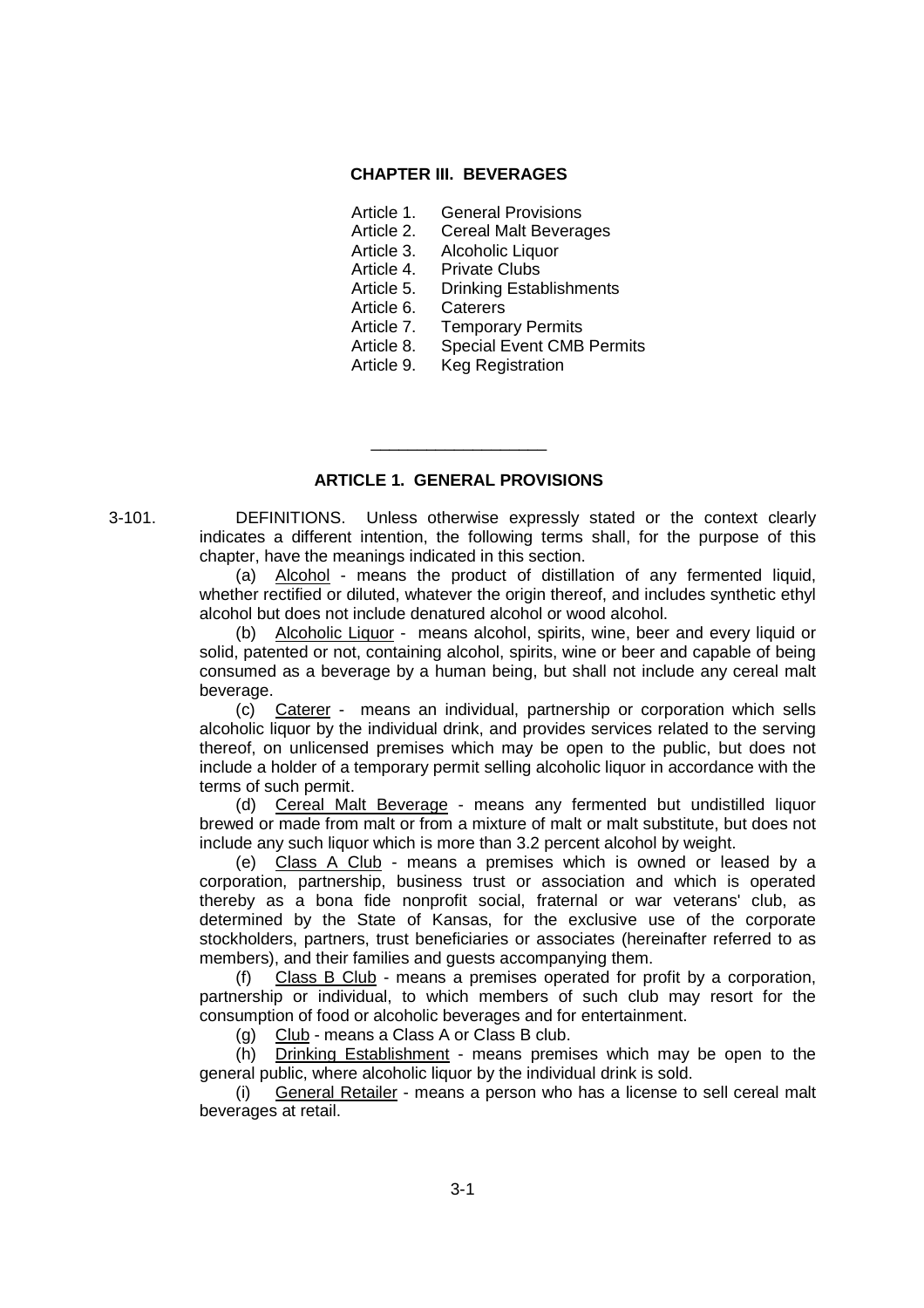### **CHAPTER III. BEVERAGES**

- Article 1. General Provisions
- Article 2. Cereal Malt Beverages
- Article 3. Alcoholic Liquor
- Article 4. Private Clubs
- Article 5. Drinking Establishments
- Article 6. Caterers
- Article 7. Temporary Permits
- Article 8. Special Event CMB Permits
- Article 9. Keg Registration

#### **ARTICLE 1. GENERAL PROVISIONS**

\_\_\_\_\_\_\_\_\_\_\_\_\_\_\_\_\_\_\_

3-101. DEFINITIONS. Unless otherwise expressly stated or the context clearly indicates a different intention, the following terms shall, for the purpose of this chapter, have the meanings indicated in this section.

(a) Alcohol - means the product of distillation of any fermented liquid, whether rectified or diluted, whatever the origin thereof, and includes synthetic ethyl alcohol but does not include denatured alcohol or wood alcohol.

(b) Alcoholic Liquor - means alcohol, spirits, wine, beer and every liquid or solid, patented or not, containing alcohol, spirits, wine or beer and capable of being consumed as a beverage by a human being, but shall not include any cereal malt beverage.

(c) Caterer - means an individual, partnership or corporation which sells alcoholic liquor by the individual drink, and provides services related to the serving thereof, on unlicensed premises which may be open to the public, but does not include a holder of a temporary permit selling alcoholic liquor in accordance with the terms of such permit.

(d) Cereal Malt Beverage - means any fermented but undistilled liquor brewed or made from malt or from a mixture of malt or malt substitute, but does not include any such liquor which is more than 3.2 percent alcohol by weight.

(e) Class A Club - means a premises which is owned or leased by a corporation, partnership, business trust or association and which is operated thereby as a bona fide nonprofit social, fraternal or war veterans' club, as determined by the State of Kansas, for the exclusive use of the corporate stockholders, partners, trust beneficiaries or associates (hereinafter referred to as members), and their families and guests accompanying them.

(f) Class B Club - means a premises operated for profit by a corporation, partnership or individual, to which members of such club may resort for the consumption of food or alcoholic beverages and for entertainment.

(g) Club - means a Class A or Class B club.

(h) Drinking Establishment - means premises which may be open to the general public, where alcoholic liquor by the individual drink is sold.

(i) General Retailer - means a person who has a license to sell cereal malt beverages at retail.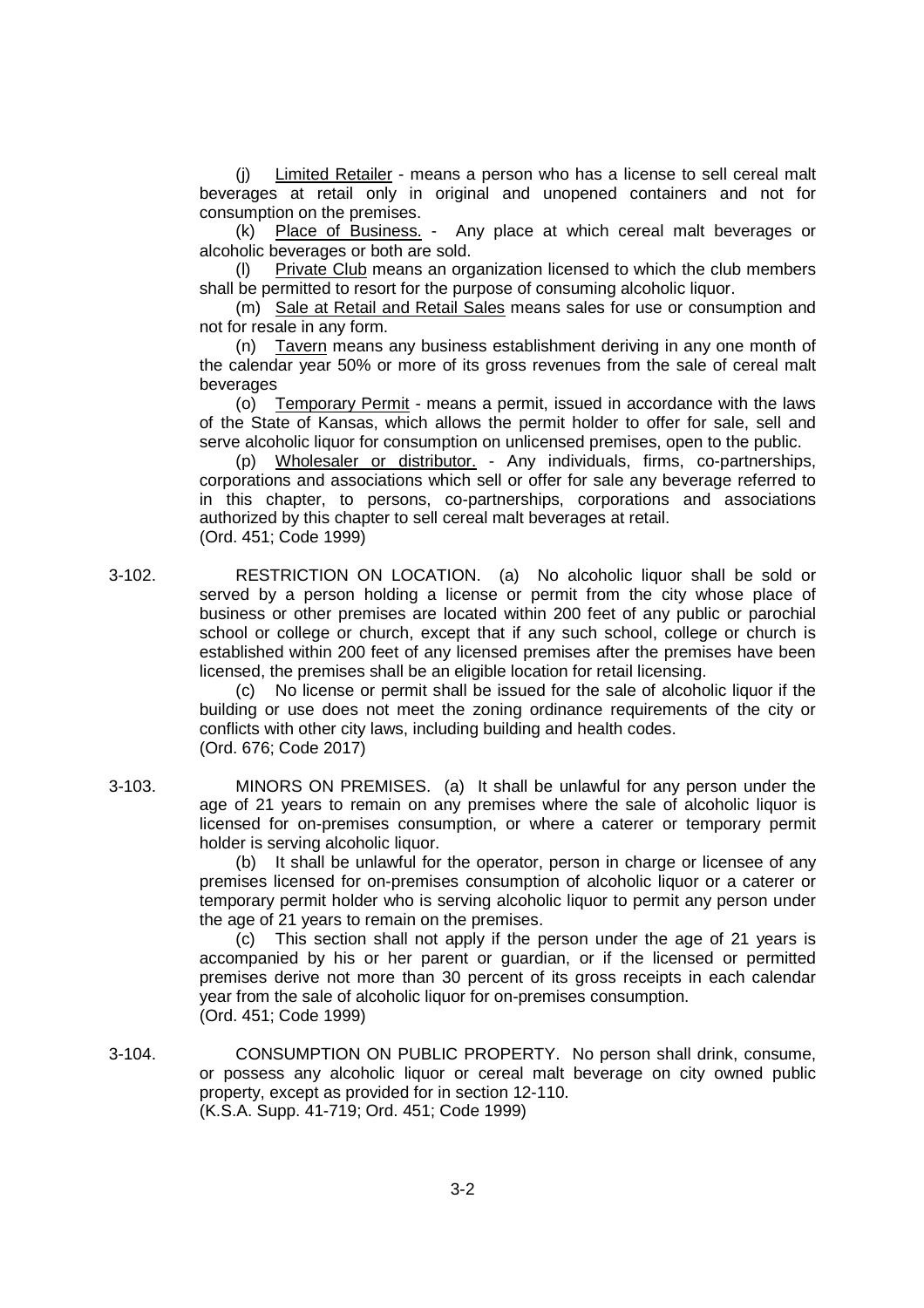(j) Limited Retailer - means a person who has a license to sell cereal malt beverages at retail only in original and unopened containers and not for consumption on the premises.

(k) Place of Business. - Any place at which cereal malt beverages or alcoholic beverages or both are sold.

(l) Private Club means an organization licensed to which the club members shall be permitted to resort for the purpose of consuming alcoholic liquor.

(m) Sale at Retail and Retail Sales means sales for use or consumption and not for resale in any form.

(n) Tavern means any business establishment deriving in any one month of the calendar year 50% or more of its gross revenues from the sale of cereal malt beverages

(o) Temporary Permit - means a permit, issued in accordance with the laws of the State of Kansas, which allows the permit holder to offer for sale, sell and serve alcoholic liquor for consumption on unlicensed premises, open to the public.

(p) Wholesaler or distributor. - Any individuals, firms, co-partnerships. corporations and associations which sell or offer for sale any beverage referred to in this chapter, to persons, co-partnerships, corporations and associations authorized by this chapter to sell cereal malt beverages at retail. (Ord. 451; Code 1999)

3-102. RESTRICTION ON LOCATION. (a) No alcoholic liquor shall be sold or served by a person holding a license or permit from the city whose place of business or other premises are located within 200 feet of any public or parochial school or college or church, except that if any such school, college or church is established within 200 feet of any licensed premises after the premises have been licensed, the premises shall be an eligible location for retail licensing.

> (c) No license or permit shall be issued for the sale of alcoholic liquor if the building or use does not meet the zoning ordinance requirements of the city or conflicts with other city laws, including building and health codes. (Ord. 676; Code 2017)

3-103. MINORS ON PREMISES. (a) It shall be unlawful for any person under the age of 21 years to remain on any premises where the sale of alcoholic liquor is licensed for on-premises consumption, or where a caterer or temporary permit holder is serving alcoholic liquor.

> (b) It shall be unlawful for the operator, person in charge or licensee of any premises licensed for on-premises consumption of alcoholic liquor or a caterer or temporary permit holder who is serving alcoholic liquor to permit any person under the age of 21 years to remain on the premises.

> (c) This section shall not apply if the person under the age of 21 years is accompanied by his or her parent or guardian, or if the licensed or permitted premises derive not more than 30 percent of its gross receipts in each calendar year from the sale of alcoholic liquor for on-premises consumption. (Ord. 451; Code 1999)

3-104. CONSUMPTION ON PUBLIC PROPERTY. No person shall drink, consume, or possess any alcoholic liquor or cereal malt beverage on city owned public property, except as provided for in section 12-110. (K.S.A. Supp. 41-719; Ord. 451; Code 1999)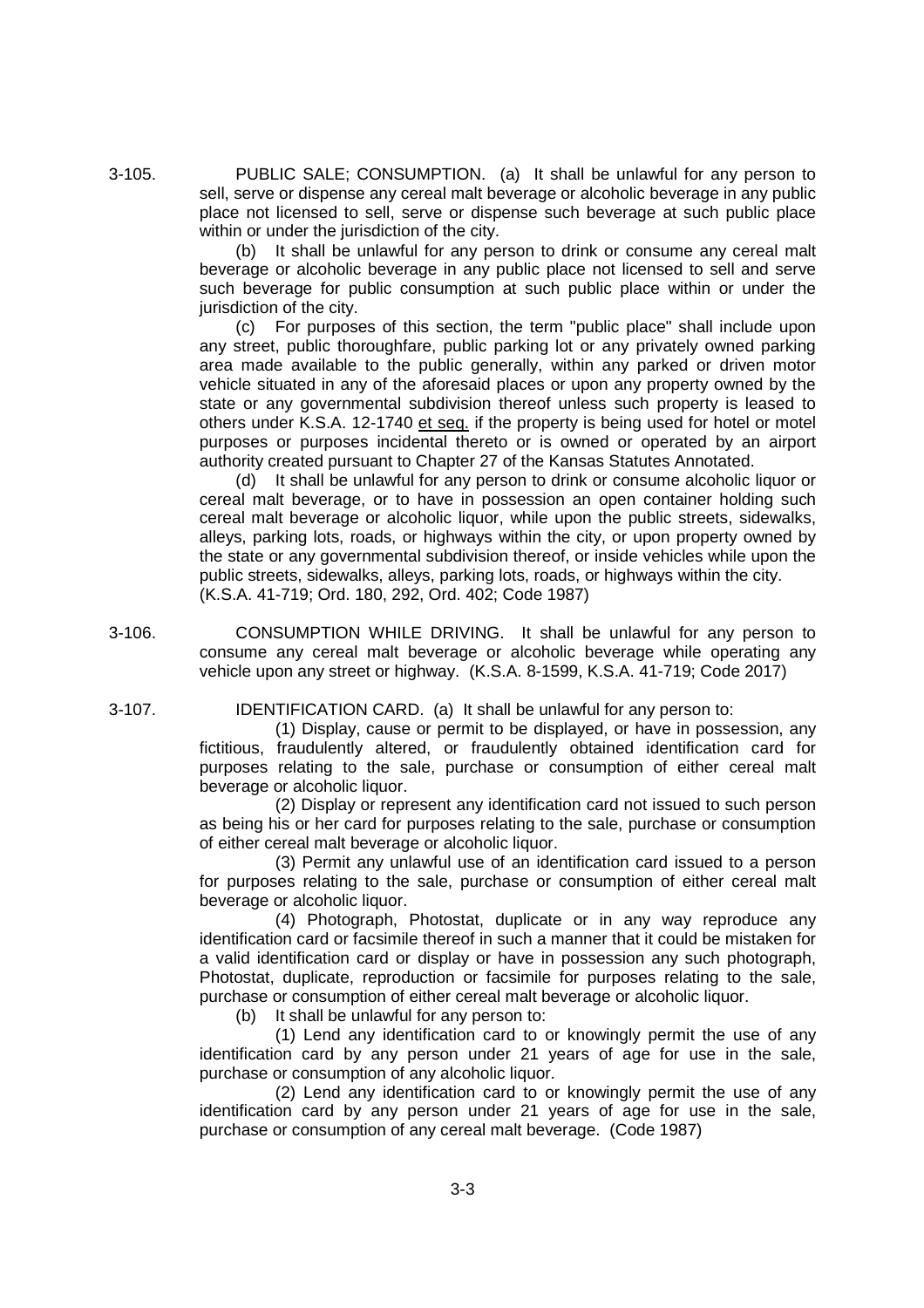3-105. PUBLIC SALE; CONSUMPTION. (a) It shall be unlawful for any person to sell, serve or dispense any cereal malt beverage or alcoholic beverage in any public place not licensed to sell, serve or dispense such beverage at such public place within or under the jurisdiction of the city.

(b) It shall be unlawful for any person to drink or consume any cereal malt beverage or alcoholic beverage in any public place not licensed to sell and serve such beverage for public consumption at such public place within or under the jurisdiction of the city.

(c) For purposes of this section, the term "public place" shall include upon any street, public thoroughfare, public parking lot or any privately owned parking area made available to the public generally, within any parked or driven motor vehicle situated in any of the aforesaid places or upon any property owned by the state or any governmental subdivision thereof unless such property is leased to others under K.S.A. 12-1740 et seq. if the property is being used for hotel or motel purposes or purposes incidental thereto or is owned or operated by an airport authority created pursuant to Chapter 27 of the Kansas Statutes Annotated.

(d) It shall be unlawful for any person to drink or consume alcoholic liquor or cereal malt beverage, or to have in possession an open container holding such cereal malt beverage or alcoholic liquor, while upon the public streets, sidewalks, alleys, parking lots, roads, or highways within the city, or upon property owned by the state or any governmental subdivision thereof, or inside vehicles while upon the public streets, sidewalks, alleys, parking lots, roads, or highways within the city. (K.S.A. 41-719; Ord. 180, 292, Ord. 402; Code 1987)

3-106. CONSUMPTION WHILE DRIVING. It shall be unlawful for any person to consume any cereal malt beverage or alcoholic beverage while operating any vehicle upon any street or highway. (K.S.A. 8-1599, K.S.A. 41-719; Code 2017)

3-107. IDENTIFICATION CARD. (a) It shall be unlawful for any person to:

(1) Display, cause or permit to be displayed, or have in possession, any fictitious, fraudulently altered, or fraudulently obtained identification card for purposes relating to the sale, purchase or consumption of either cereal malt beverage or alcoholic liquor.

(2) Display or represent any identification card not issued to such person as being his or her card for purposes relating to the sale, purchase or consumption of either cereal malt beverage or alcoholic liquor.

(3) Permit any unlawful use of an identification card issued to a person for purposes relating to the sale, purchase or consumption of either cereal malt beverage or alcoholic liquor.

(4) Photograph, Photostat, duplicate or in any way reproduce any identification card or facsimile thereof in such a manner that it could be mistaken for a valid identification card or display or have in possession any such photograph, Photostat, duplicate, reproduction or facsimile for purposes relating to the sale, purchase or consumption of either cereal malt beverage or alcoholic liquor.

(b) It shall be unlawful for any person to:

(1) Lend any identification card to or knowingly permit the use of any identification card by any person under 21 years of age for use in the sale, purchase or consumption of any alcoholic liquor.

(2) Lend any identification card to or knowingly permit the use of any identification card by any person under 21 years of age for use in the sale, purchase or consumption of any cereal malt beverage. (Code 1987)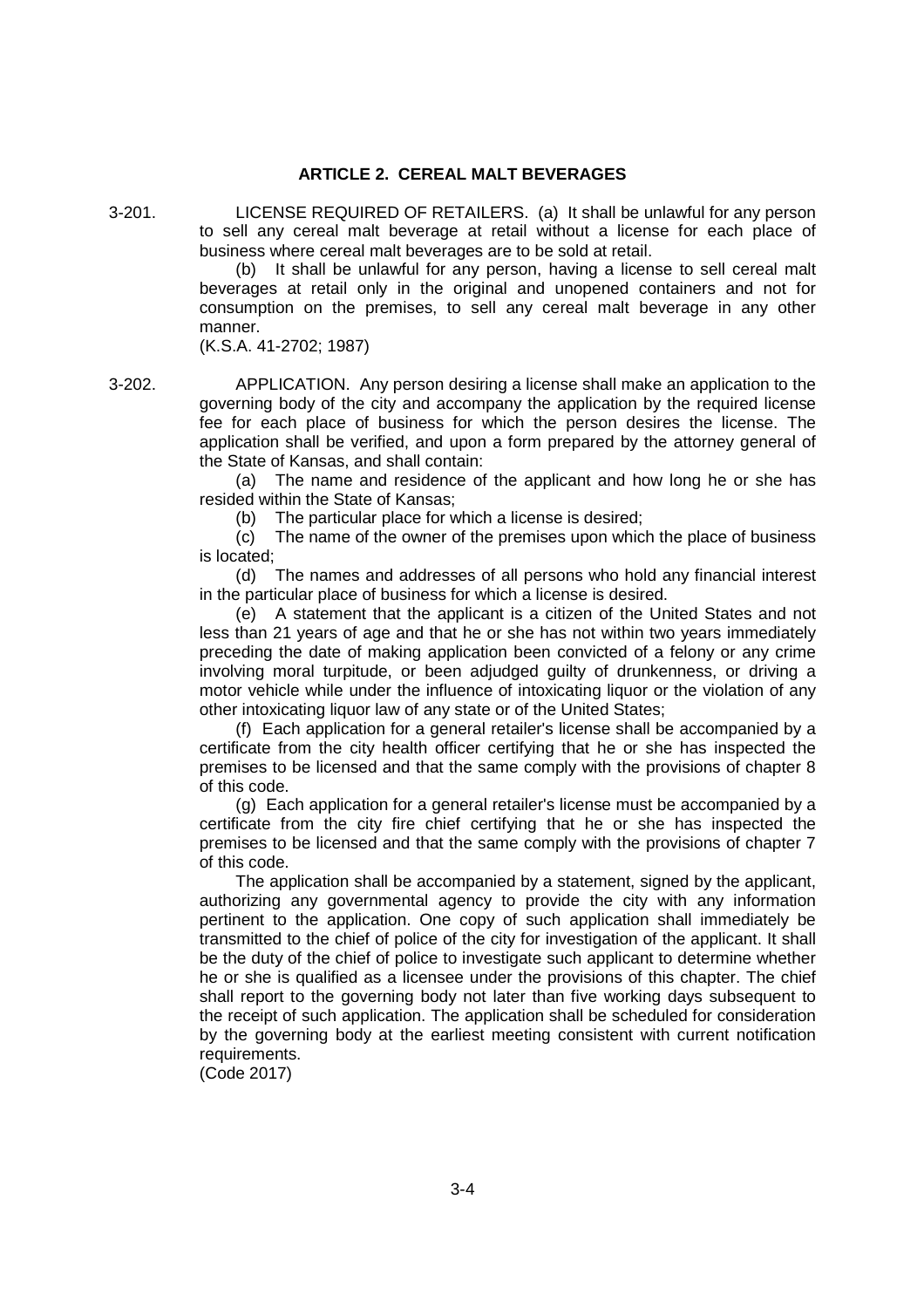# **ARTICLE 2. CEREAL MALT BEVERAGES**

3-201. LICENSE REQUIRED OF RETAILERS. (a) It shall be unlawful for any person to sell any cereal malt beverage at retail without a license for each place of business where cereal malt beverages are to be sold at retail.

(b) It shall be unlawful for any person, having a license to sell cereal malt beverages at retail only in the original and unopened containers and not for consumption on the premises, to sell any cereal malt beverage in any other manner.

(K.S.A. 41-2702; 1987)

3-202. APPLICATION. Any person desiring a license shall make an application to the governing body of the city and accompany the application by the required license fee for each place of business for which the person desires the license. The application shall be verified, and upon a form prepared by the attorney general of the State of Kansas, and shall contain:

> (a) The name and residence of the applicant and how long he or she has resided within the State of Kansas;

(b) The particular place for which a license is desired;

(c) The name of the owner of the premises upon which the place of business is located;

(d) The names and addresses of all persons who hold any financial interest in the particular place of business for which a license is desired.

(e) A statement that the applicant is a citizen of the United States and not less than 21 years of age and that he or she has not within two years immediately preceding the date of making application been convicted of a felony or any crime involving moral turpitude, or been adjudged guilty of drunkenness, or driving a motor vehicle while under the influence of intoxicating liquor or the violation of any other intoxicating liquor law of any state or of the United States;

(f) Each application for a general retailer's license shall be accompanied by a certificate from the city health officer certifying that he or she has inspected the premises to be licensed and that the same comply with the provisions of chapter 8 of this code.

(g) Each application for a general retailer's license must be accompanied by a certificate from the city fire chief certifying that he or she has inspected the premises to be licensed and that the same comply with the provisions of chapter 7 of this code.

The application shall be accompanied by a statement, signed by the applicant, authorizing any governmental agency to provide the city with any information pertinent to the application. One copy of such application shall immediately be transmitted to the chief of police of the city for investigation of the applicant. It shall be the duty of the chief of police to investigate such applicant to determine whether he or she is qualified as a licensee under the provisions of this chapter. The chief shall report to the governing body not later than five working days subsequent to the receipt of such application. The application shall be scheduled for consideration by the governing body at the earliest meeting consistent with current notification requirements.

(Code 2017)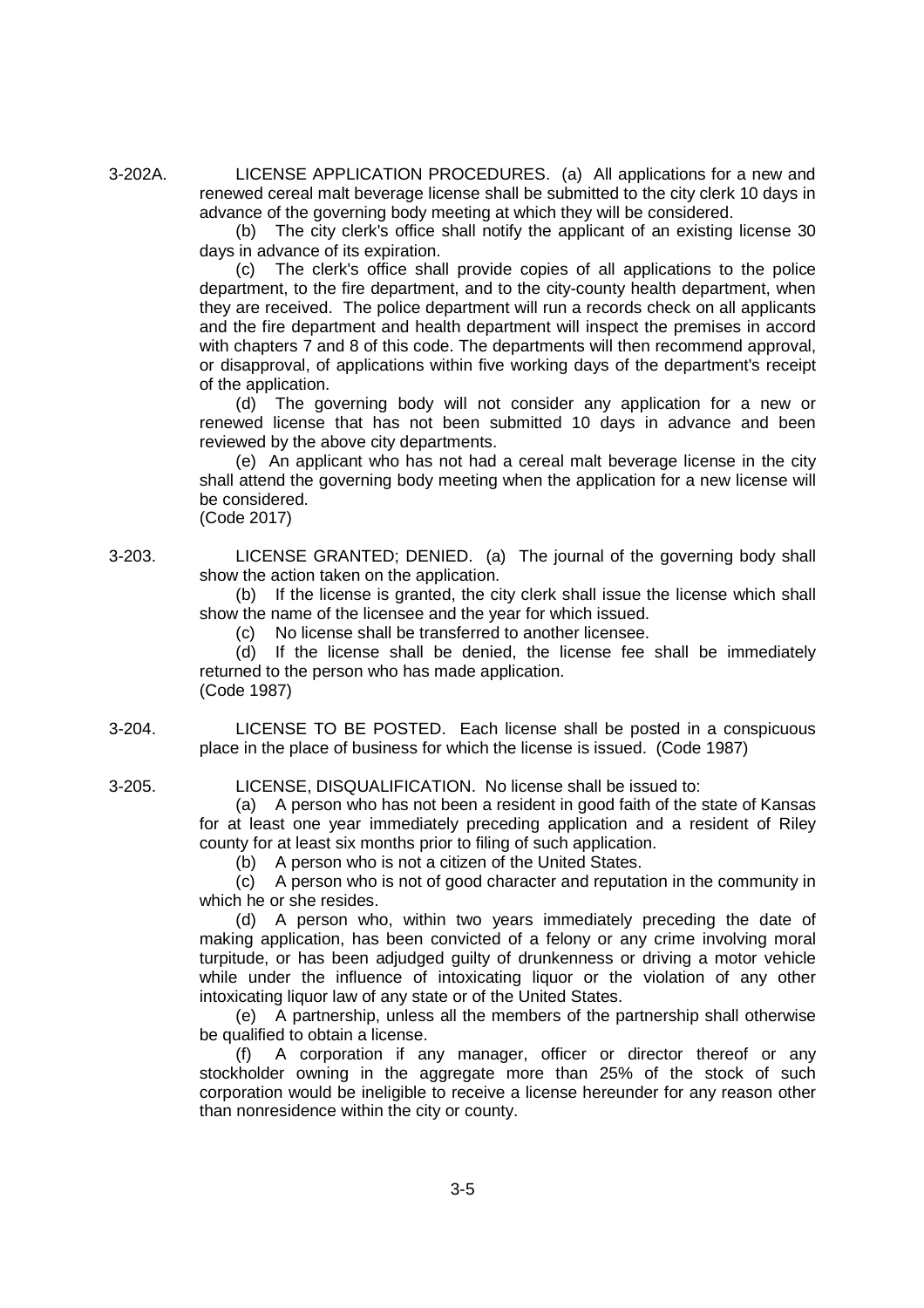3-202A. LICENSE APPLICATION PROCEDURES. (a) All applications for a new and renewed cereal malt beverage license shall be submitted to the city clerk 10 days in advance of the governing body meeting at which they will be considered.

> (b) The city clerk's office shall notify the applicant of an existing license 30 days in advance of its expiration.

> (c) The clerk's office shall provide copies of all applications to the police department, to the fire department, and to the city-county health department, when they are received. The police department will run a records check on all applicants and the fire department and health department will inspect the premises in accord with chapters 7 and 8 of this code. The departments will then recommend approval, or disapproval, of applications within five working days of the department's receipt of the application.

> (d) The governing body will not consider any application for a new or renewed license that has not been submitted 10 days in advance and been reviewed by the above city departments.

> (e) An applicant who has not had a cereal malt beverage license in the city shall attend the governing body meeting when the application for a new license will be considered.

(Code 2017)

3-203. LICENSE GRANTED; DENIED. (a) The journal of the governing body shall show the action taken on the application.

> (b) If the license is granted, the city clerk shall issue the license which shall show the name of the licensee and the year for which issued.

(c) No license shall be transferred to another licensee.

(d) If the license shall be denied, the license fee shall be immediately returned to the person who has made application. (Code 1987)

3-204. LICENSE TO BE POSTED. Each license shall be posted in a conspicuous place in the place of business for which the license is issued. (Code 1987)

3-205. LICENSE, DISQUALIFICATION. No license shall be issued to:

(a) A person who has not been a resident in good faith of the state of Kansas for at least one year immediately preceding application and a resident of Riley county for at least six months prior to filing of such application.

(b) A person who is not a citizen of the United States.

(c) A person who is not of good character and reputation in the community in which he or she resides.

(d) A person who, within two years immediately preceding the date of making application, has been convicted of a felony or any crime involving moral turpitude, or has been adjudged guilty of drunkenness or driving a motor vehicle while under the influence of intoxicating liquor or the violation of any other intoxicating liquor law of any state or of the United States.

(e) A partnership, unless all the members of the partnership shall otherwise be qualified to obtain a license.

(f) A corporation if any manager, officer or director thereof or any stockholder owning in the aggregate more than 25% of the stock of such corporation would be ineligible to receive a license hereunder for any reason other than nonresidence within the city or county.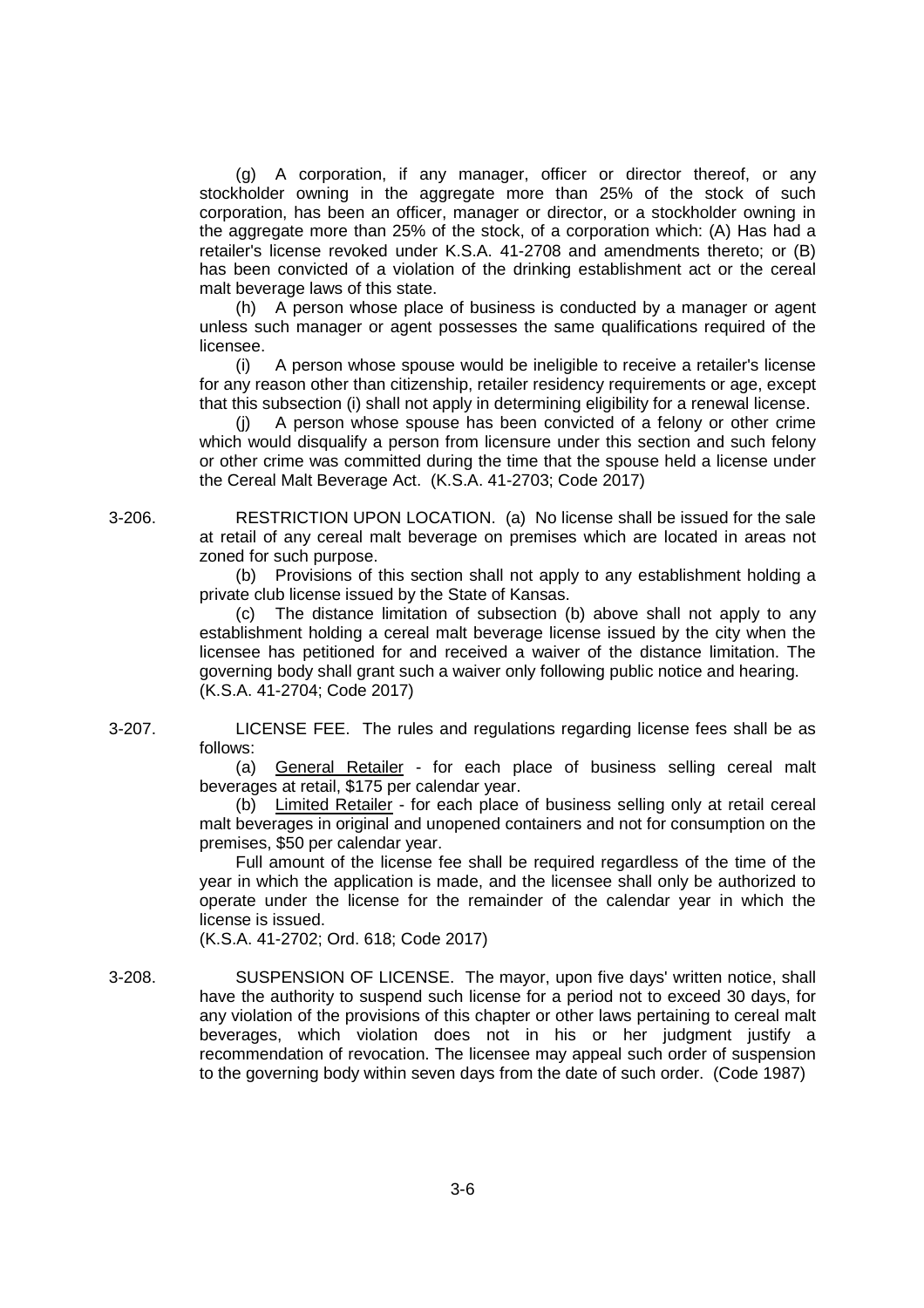(g) A corporation, if any manager, officer or director thereof, or any stockholder owning in the aggregate more than 25% of the stock of such corporation, has been an officer, manager or director, or a stockholder owning in the aggregate more than 25% of the stock, of a corporation which: (A) Has had a retailer's license revoked under K.S.A. 41-2708 and amendments thereto; or (B) has been convicted of a violation of the drinking establishment act or the cereal malt beverage laws of this state.

(h) A person whose place of business is conducted by a manager or agent unless such manager or agent possesses the same qualifications required of the licensee.

(i) A person whose spouse would be ineligible to receive a retailer's license for any reason other than citizenship, retailer residency requirements or age, except that this subsection (i) shall not apply in determining eligibility for a renewal license.

(j) A person whose spouse has been convicted of a felony or other crime which would disqualify a person from licensure under this section and such felony or other crime was committed during the time that the spouse held a license under the Cereal Malt Beverage Act. (K.S.A. 41-2703; Code 2017)

3-206. RESTRICTION UPON LOCATION. (a) No license shall be issued for the sale at retail of any cereal malt beverage on premises which are located in areas not zoned for such purpose.

> (b) Provisions of this section shall not apply to any establishment holding a private club license issued by the State of Kansas.

> The distance limitation of subsection (b) above shall not apply to any establishment holding a cereal malt beverage license issued by the city when the licensee has petitioned for and received a waiver of the distance limitation. The governing body shall grant such a waiver only following public notice and hearing. (K.S.A. 41-2704; Code 2017)

3-207. LICENSE FEE. The rules and regulations regarding license fees shall be as follows:

> (a) General Retailer - for each place of business selling cereal malt beverages at retail, \$175 per calendar year.

> (b) Limited Retailer - for each place of business selling only at retail cereal malt beverages in original and unopened containers and not for consumption on the premises, \$50 per calendar year.

> Full amount of the license fee shall be required regardless of the time of the year in which the application is made, and the licensee shall only be authorized to operate under the license for the remainder of the calendar year in which the license is issued.

(K.S.A. 41-2702; Ord. 618; Code 2017)

3-208. SUSPENSION OF LICENSE. The mayor, upon five days' written notice, shall have the authority to suspend such license for a period not to exceed 30 days, for any violation of the provisions of this chapter or other laws pertaining to cereal malt beverages, which violation does not in his or her judgment justify a recommendation of revocation. The licensee may appeal such order of suspension to the governing body within seven days from the date of such order. (Code 1987)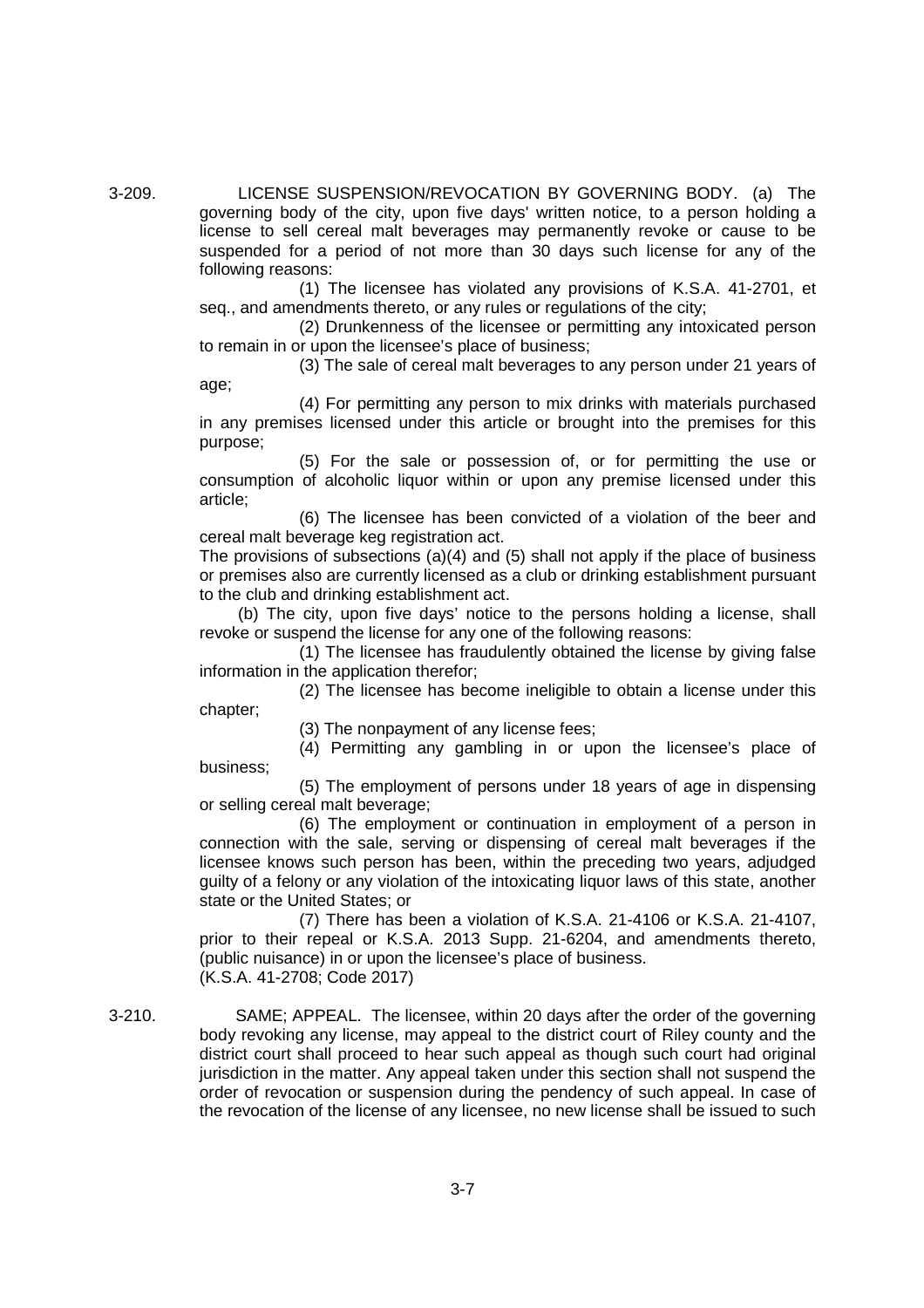3-209. LICENSE SUSPENSION/REVOCATION BY GOVERNING BODY. (a) The governing body of the city, upon five days' written notice, to a person holding a license to sell cereal malt beverages may permanently revoke or cause to be suspended for a period of not more than 30 days such license for any of the following reasons:

> (1) The licensee has violated any provisions of K.S.A. 41-2701, et seq., and amendments thereto, or any rules or regulations of the city;

> (2) Drunkenness of the licensee or permitting any intoxicated person to remain in or upon the licensee's place of business;

> (3) The sale of cereal malt beverages to any person under 21 years of age;

> (4) For permitting any person to mix drinks with materials purchased in any premises licensed under this article or brought into the premises for this purpose;

> (5) For the sale or possession of, or for permitting the use or consumption of alcoholic liquor within or upon any premise licensed under this article;

> (6) The licensee has been convicted of a violation of the beer and cereal malt beverage keg registration act.

> The provisions of subsections  $(a)(4)$  and  $(5)$  shall not apply if the place of business or premises also are currently licensed as a club or drinking establishment pursuant to the club and drinking establishment act.

> (b) The city, upon five days' notice to the persons holding a license, shall revoke or suspend the license for any one of the following reasons:

> (1) The licensee has fraudulently obtained the license by giving false information in the application therefor;

> (2) The licensee has become ineligible to obtain a license under this chapter;

> > (3) The nonpayment of any license fees;

business;

(4) Permitting any gambling in or upon the licensee's place of

(5) The employment of persons under 18 years of age in dispensing or selling cereal malt beverage;

(6) The employment or continuation in employment of a person in connection with the sale, serving or dispensing of cereal malt beverages if the licensee knows such person has been, within the preceding two years, adjudged guilty of a felony or any violation of the intoxicating liquor laws of this state, another state or the United States; or

(7) There has been a violation of K.S.A. 21-4106 or K.S.A. 21-4107, prior to their repeal or K.S.A. 2013 Supp. 21-6204, and amendments thereto, (public nuisance) in or upon the licensee's place of business. (K.S.A. 41-2708; Code 2017)

3-210. SAME; APPEAL. The licensee, within 20 days after the order of the governing body revoking any license, may appeal to the district court of Riley county and the district court shall proceed to hear such appeal as though such court had original jurisdiction in the matter. Any appeal taken under this section shall not suspend the order of revocation or suspension during the pendency of such appeal. In case of the revocation of the license of any licensee, no new license shall be issued to such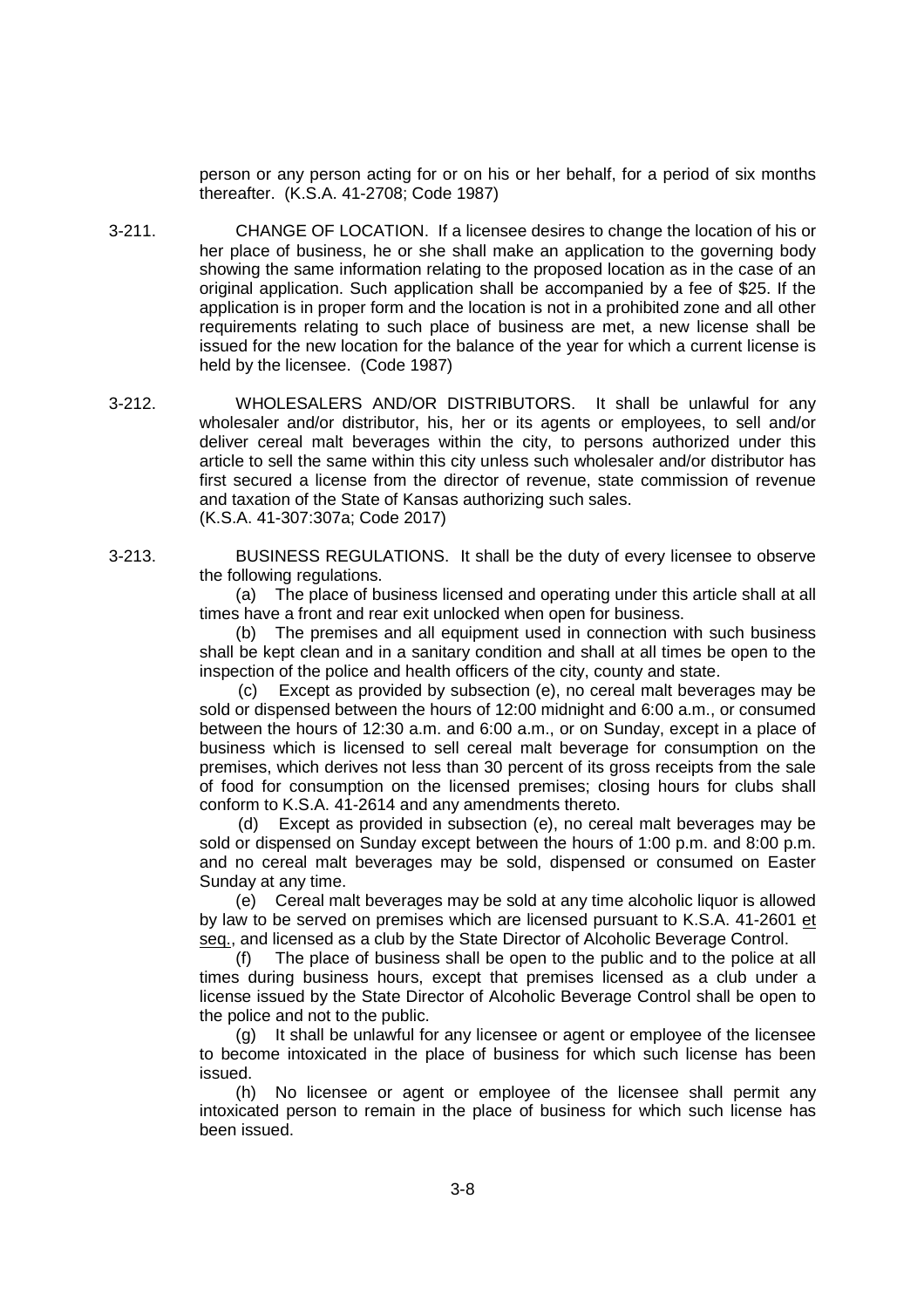person or any person acting for or on his or her behalf, for a period of six months thereafter. (K.S.A. 41-2708; Code 1987)

- 3-211. CHANGE OF LOCATION. If a licensee desires to change the location of his or her place of business, he or she shall make an application to the governing body showing the same information relating to the proposed location as in the case of an original application. Such application shall be accompanied by a fee of \$25. If the application is in proper form and the location is not in a prohibited zone and all other requirements relating to such place of business are met, a new license shall be issued for the new location for the balance of the year for which a current license is held by the licensee. (Code 1987)
- 3-212. WHOLESALERS AND/OR DISTRIBUTORS. It shall be unlawful for any wholesaler and/or distributor, his, her or its agents or employees, to sell and/or deliver cereal malt beverages within the city, to persons authorized under this article to sell the same within this city unless such wholesaler and/or distributor has first secured a license from the director of revenue, state commission of revenue and taxation of the State of Kansas authorizing such sales. (K.S.A. 41-307:307a; Code 2017)

3-213. BUSINESS REGULATIONS. It shall be the duty of every licensee to observe the following regulations.

> (a) The place of business licensed and operating under this article shall at all times have a front and rear exit unlocked when open for business.

> (b) The premises and all equipment used in connection with such business shall be kept clean and in a sanitary condition and shall at all times be open to the inspection of the police and health officers of the city, county and state.

> (c) Except as provided by subsection (e), no cereal malt beverages may be sold or dispensed between the hours of 12:00 midnight and 6:00 a.m., or consumed between the hours of 12:30 a.m. and 6:00 a.m., or on Sunday, except in a place of business which is licensed to sell cereal malt beverage for consumption on the premises, which derives not less than 30 percent of its gross receipts from the sale of food for consumption on the licensed premises; closing hours for clubs shall conform to K.S.A. 41-2614 and any amendments thereto.

> (d) Except as provided in subsection (e), no cereal malt beverages may be sold or dispensed on Sunday except between the hours of 1:00 p.m. and 8:00 p.m. and no cereal malt beverages may be sold, dispensed or consumed on Easter Sunday at any time.

> (e) Cereal malt beverages may be sold at any time alcoholic liquor is allowed by law to be served on premises which are licensed pursuant to K.S.A. 41-2601 et seq., and licensed as a club by the State Director of Alcoholic Beverage Control.

> (f) The place of business shall be open to the public and to the police at all times during business hours, except that premises licensed as a club under a license issued by the State Director of Alcoholic Beverage Control shall be open to the police and not to the public.

> (g) It shall be unlawful for any licensee or agent or employee of the licensee to become intoxicated in the place of business for which such license has been issued.

> (h) No licensee or agent or employee of the licensee shall permit any intoxicated person to remain in the place of business for which such license has been issued.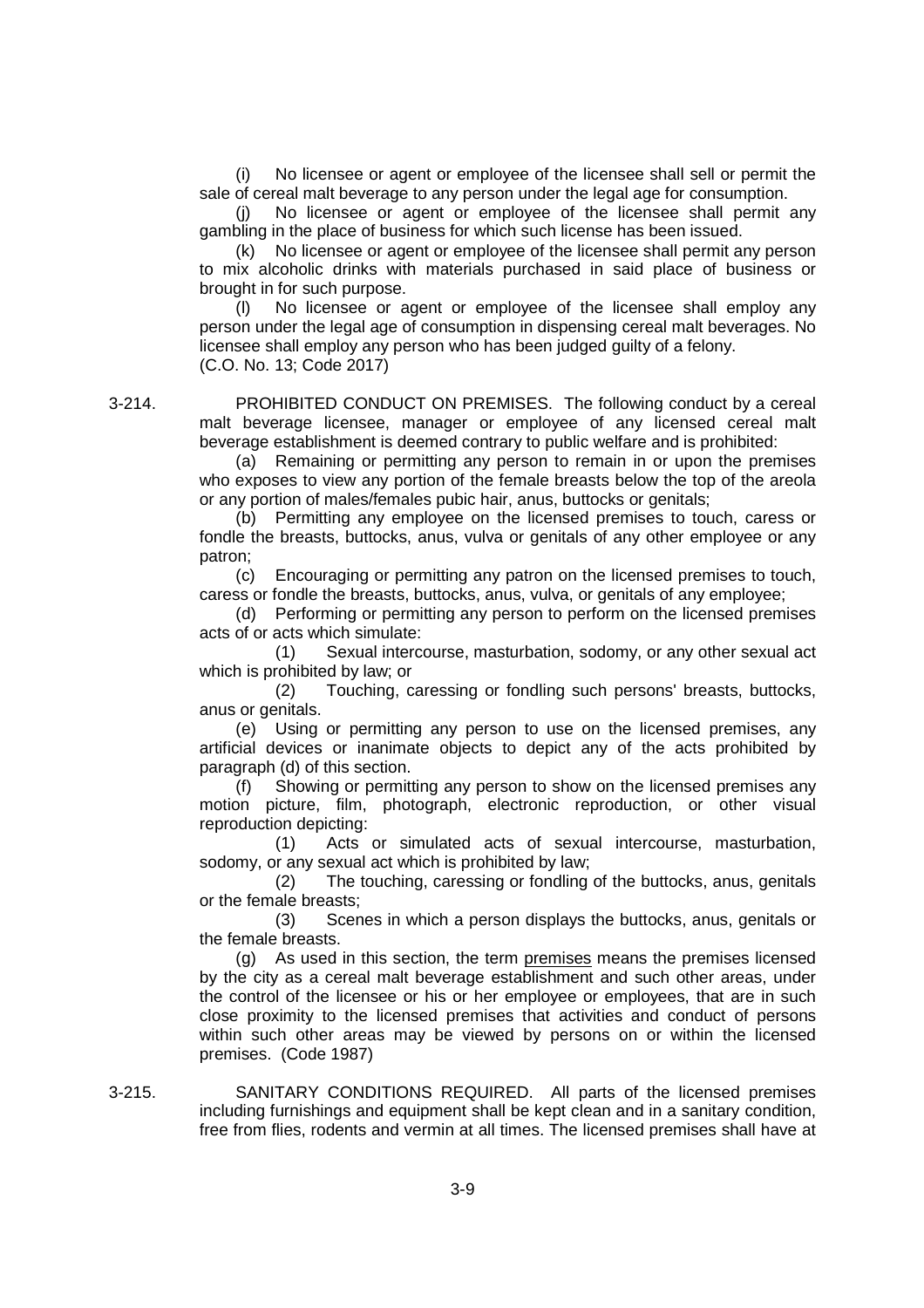No licensee or agent or employee of the licensee shall sell or permit the sale of cereal malt beverage to any person under the legal age for consumption.

(j) No licensee or agent or employee of the licensee shall permit any gambling in the place of business for which such license has been issued.

(k) No licensee or agent or employee of the licensee shall permit any person to mix alcoholic drinks with materials purchased in said place of business or brought in for such purpose.

(l) No licensee or agent or employee of the licensee shall employ any person under the legal age of consumption in dispensing cereal malt beverages. No licensee shall employ any person who has been judged guilty of a felony. (C.O. No. 13; Code 2017)

3-214. PROHIBITED CONDUCT ON PREMISES. The following conduct by a cereal malt beverage licensee, manager or employee of any licensed cereal malt beverage establishment is deemed contrary to public welfare and is prohibited:

> (a) Remaining or permitting any person to remain in or upon the premises who exposes to view any portion of the female breasts below the top of the areola or any portion of males/females pubic hair, anus, buttocks or genitals;

> (b) Permitting any employee on the licensed premises to touch, caress or fondle the breasts, buttocks, anus, vulva or genitals of any other employee or any patron;

> (c) Encouraging or permitting any patron on the licensed premises to touch, caress or fondle the breasts, buttocks, anus, vulva, or genitals of any employee;

> (d) Performing or permitting any person to perform on the licensed premises acts of or acts which simulate:

> (1) Sexual intercourse, masturbation, sodomy, or any other sexual act which is prohibited by law; or

> (2) Touching, caressing or fondling such persons' breasts, buttocks, anus or genitals.

> (e) Using or permitting any person to use on the licensed premises, any artificial devices or inanimate objects to depict any of the acts prohibited by paragraph (d) of this section.

> (f) Showing or permitting any person to show on the licensed premises any motion picture, film, photograph, electronic reproduction, or other visual reproduction depicting:

> (1) Acts or simulated acts of sexual intercourse, masturbation, sodomy, or any sexual act which is prohibited by law;

> (2) The touching, caressing or fondling of the buttocks, anus, genitals or the female breasts;

> (3) Scenes in which a person displays the buttocks, anus, genitals or the female breasts.

> (g) As used in this section, the term premises means the premises licensed by the city as a cereal malt beverage establishment and such other areas, under the control of the licensee or his or her employee or employees, that are in such close proximity to the licensed premises that activities and conduct of persons within such other areas may be viewed by persons on or within the licensed premises. (Code 1987)

3-215. SANITARY CONDITIONS REQUIRED. All parts of the licensed premises including furnishings and equipment shall be kept clean and in a sanitary condition, free from flies, rodents and vermin at all times. The licensed premises shall have at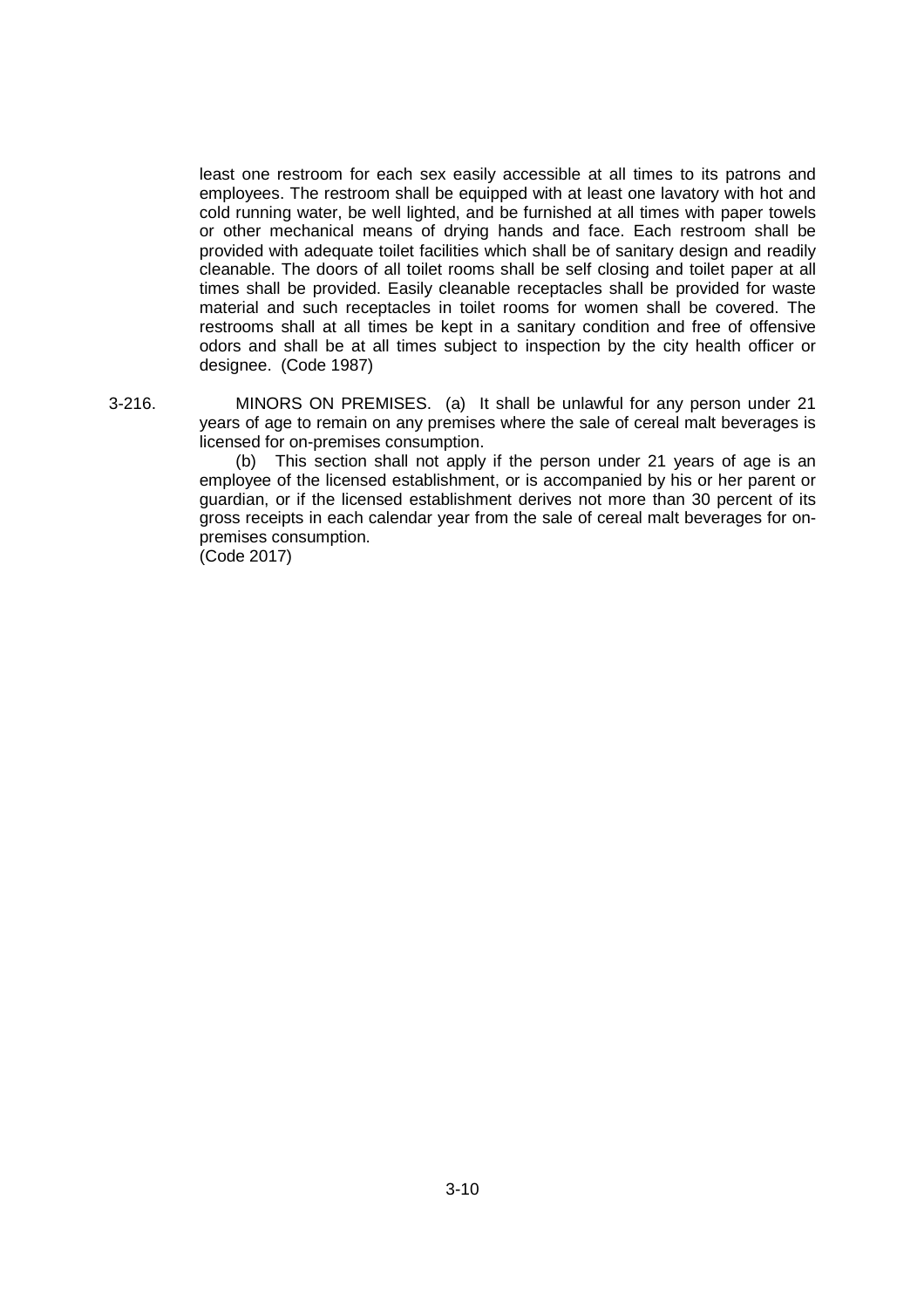least one restroom for each sex easily accessible at all times to its patrons and employees. The restroom shall be equipped with at least one lavatory with hot and cold running water, be well lighted, and be furnished at all times with paper towels or other mechanical means of drying hands and face. Each restroom shall be provided with adequate toilet facilities which shall be of sanitary design and readily cleanable. The doors of all toilet rooms shall be self closing and toilet paper at all times shall be provided. Easily cleanable receptacles shall be provided for waste material and such receptacles in toilet rooms for women shall be covered. The restrooms shall at all times be kept in a sanitary condition and free of offensive odors and shall be at all times subject to inspection by the city health officer or designee. (Code 1987)

3-216. MINORS ON PREMISES. (a) It shall be unlawful for any person under 21 years of age to remain on any premises where the sale of cereal malt beverages is licensed for on-premises consumption.

> (b) This section shall not apply if the person under 21 years of age is an employee of the licensed establishment, or is accompanied by his or her parent or guardian, or if the licensed establishment derives not more than 30 percent of its gross receipts in each calendar year from the sale of cereal malt beverages for onpremises consumption.

(Code 2017)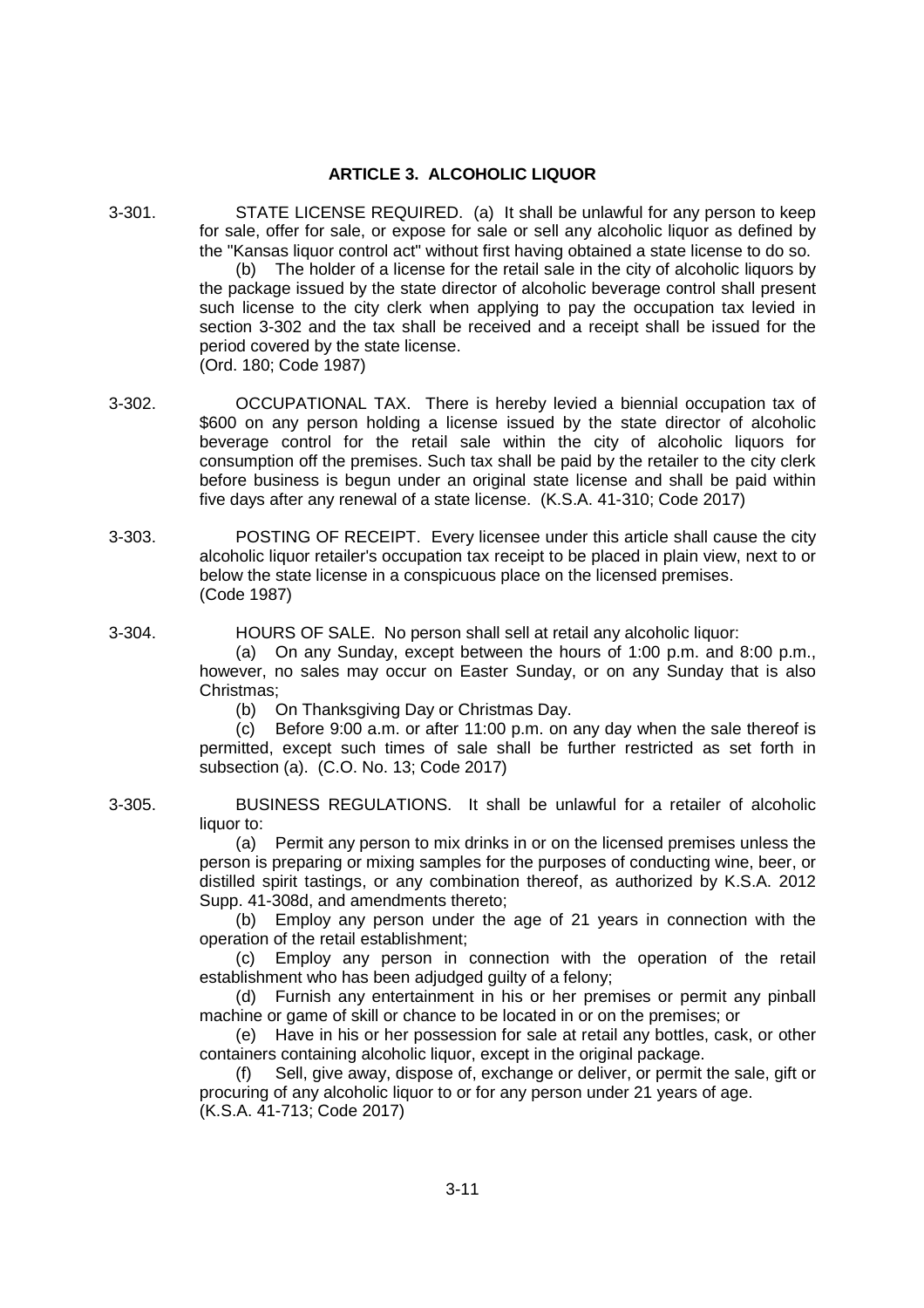# **ARTICLE 3. ALCOHOLIC LIQUOR**

3-301. STATE LICENSE REQUIRED. (a) It shall be unlawful for any person to keep for sale, offer for sale, or expose for sale or sell any alcoholic liquor as defined by the "Kansas liquor control act" without first having obtained a state license to do so.

(b) The holder of a license for the retail sale in the city of alcoholic liquors by the package issued by the state director of alcoholic beverage control shall present such license to the city clerk when applying to pay the occupation tax levied in section 3-302 and the tax shall be received and a receipt shall be issued for the period covered by the state license. (Ord. 180; Code 1987)

- 3-302. OCCUPATIONAL TAX. There is hereby levied a biennial occupation tax of \$600 on any person holding a license issued by the state director of alcoholic beverage control for the retail sale within the city of alcoholic liquors for consumption off the premises. Such tax shall be paid by the retailer to the city clerk before business is begun under an original state license and shall be paid within five days after any renewal of a state license. (K.S.A. 41-310; Code 2017)
- 3-303. POSTING OF RECEIPT. Every licensee under this article shall cause the city alcoholic liquor retailer's occupation tax receipt to be placed in plain view, next to or below the state license in a conspicuous place on the licensed premises. (Code 1987)
- 3-304. HOURS OF SALE. No person shall sell at retail any alcoholic liquor:

(a) On any Sunday, except between the hours of 1:00 p.m. and 8:00 p.m., however, no sales may occur on Easter Sunday, or on any Sunday that is also Christmas;

(b) On Thanksgiving Day or Christmas Day.

(c) Before 9:00 a.m. or after 11:00 p.m. on any day when the sale thereof is permitted, except such times of sale shall be further restricted as set forth in subsection (a). (C.O. No. 13; Code 2017)

3-305. BUSINESS REGULATIONS. It shall be unlawful for a retailer of alcoholic liquor to:

(a) Permit any person to mix drinks in or on the licensed premises unless the person is preparing or mixing samples for the purposes of conducting wine, beer, or distilled spirit tastings, or any combination thereof, as authorized by K.S.A. 2012 Supp. 41-308d, and amendments thereto;

(b) Employ any person under the age of 21 years in connection with the operation of the retail establishment;

(c) Employ any person in connection with the operation of the retail establishment who has been adjudged guilty of a felony;

(d) Furnish any entertainment in his or her premises or permit any pinball machine or game of skill or chance to be located in or on the premises; or

(e) Have in his or her possession for sale at retail any bottles, cask, or other containers containing alcoholic liquor, except in the original package.

(f) Sell, give away, dispose of, exchange or deliver, or permit the sale, gift or procuring of any alcoholic liquor to or for any person under 21 years of age. (K.S.A. 41-713; Code 2017)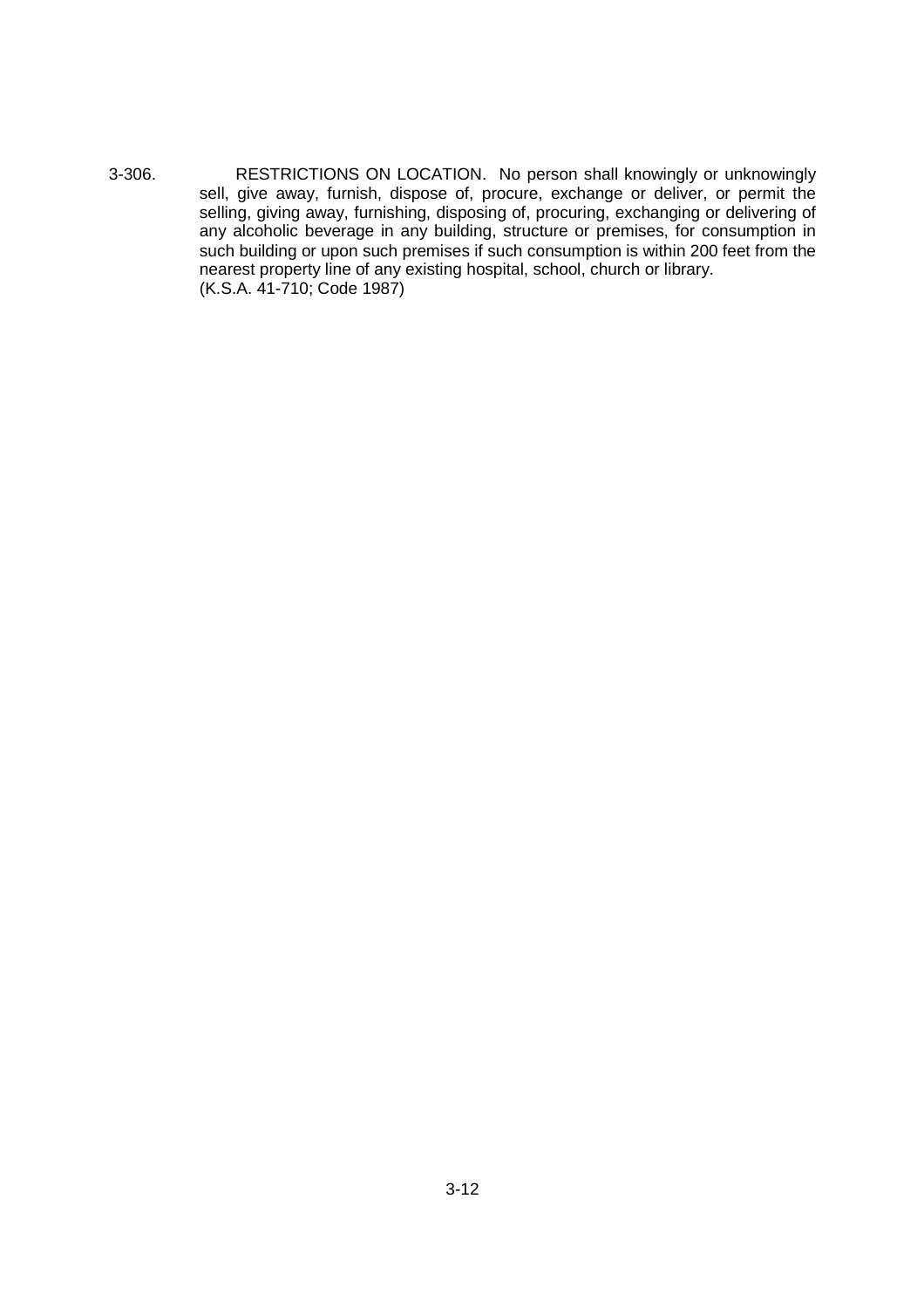3-306. RESTRICTIONS ON LOCATION. No person shall knowingly or unknowingly sell, give away, furnish, dispose of, procure, exchange or deliver, or permit the selling, giving away, furnishing, disposing of, procuring, exchanging or delivering of any alcoholic beverage in any building, structure or premises, for consumption in such building or upon such premises if such consumption is within 200 feet from the nearest property line of any existing hospital, school, church or library. (K.S.A. 41-710; Code 1987)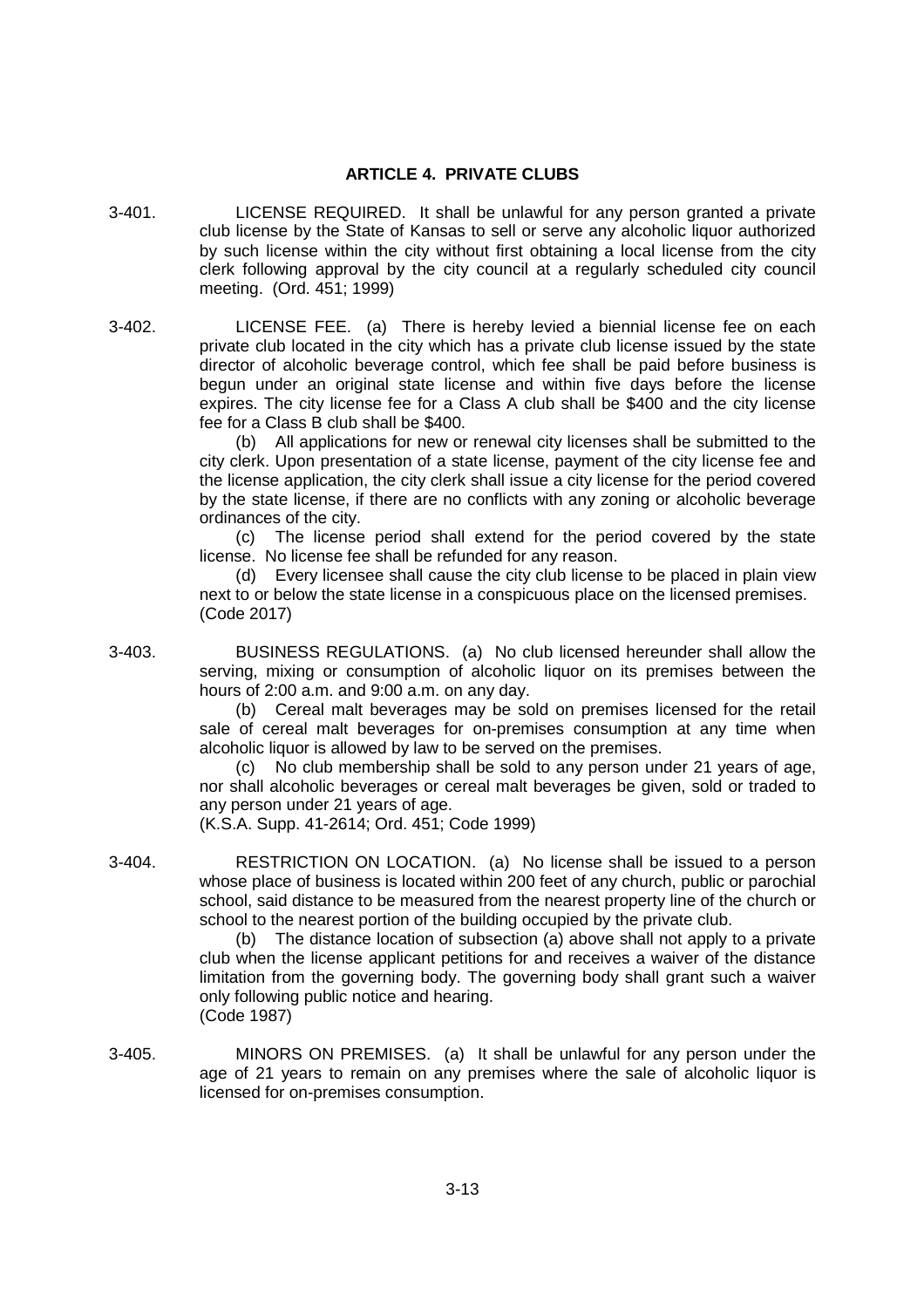### **ARTICLE 4. PRIVATE CLUBS**

- 3-401. LICENSE REQUIRED. It shall be unlawful for any person granted a private club license by the State of Kansas to sell or serve any alcoholic liquor authorized by such license within the city without first obtaining a local license from the city clerk following approval by the city council at a regularly scheduled city council meeting. (Ord. 451; 1999)
- 3-402. LICENSE FEE. (a) There is hereby levied a biennial license fee on each private club located in the city which has a private club license issued by the state director of alcoholic beverage control, which fee shall be paid before business is begun under an original state license and within five days before the license expires. The city license fee for a Class A club shall be \$400 and the city license fee for a Class B club shall be \$400.

(b) All applications for new or renewal city licenses shall be submitted to the city clerk. Upon presentation of a state license, payment of the city license fee and the license application, the city clerk shall issue a city license for the period covered by the state license, if there are no conflicts with any zoning or alcoholic beverage ordinances of the city.

(c) The license period shall extend for the period covered by the state license. No license fee shall be refunded for any reason.

(d) Every licensee shall cause the city club license to be placed in plain view next to or below the state license in a conspicuous place on the licensed premises. (Code 2017)

3-403. BUSINESS REGULATIONS. (a) No club licensed hereunder shall allow the serving, mixing or consumption of alcoholic liquor on its premises between the hours of 2:00 a.m. and 9:00 a.m. on any day.

> (b) Cereal malt beverages may be sold on premises licensed for the retail sale of cereal malt beverages for on-premises consumption at any time when alcoholic liquor is allowed by law to be served on the premises.

> (c) No club membership shall be sold to any person under 21 years of age, nor shall alcoholic beverages or cereal malt beverages be given, sold or traded to any person under 21 years of age.

(K.S.A. Supp. 41-2614; Ord. 451; Code 1999)

3-404. RESTRICTION ON LOCATION. (a) No license shall be issued to a person whose place of business is located within 200 feet of any church, public or parochial school, said distance to be measured from the nearest property line of the church or school to the nearest portion of the building occupied by the private club.

(b) The distance location of subsection (a) above shall not apply to a private club when the license applicant petitions for and receives a waiver of the distance limitation from the governing body. The governing body shall grant such a waiver only following public notice and hearing. (Code 1987)

3-405. MINORS ON PREMISES. (a) It shall be unlawful for any person under the age of 21 years to remain on any premises where the sale of alcoholic liquor is licensed for on-premises consumption.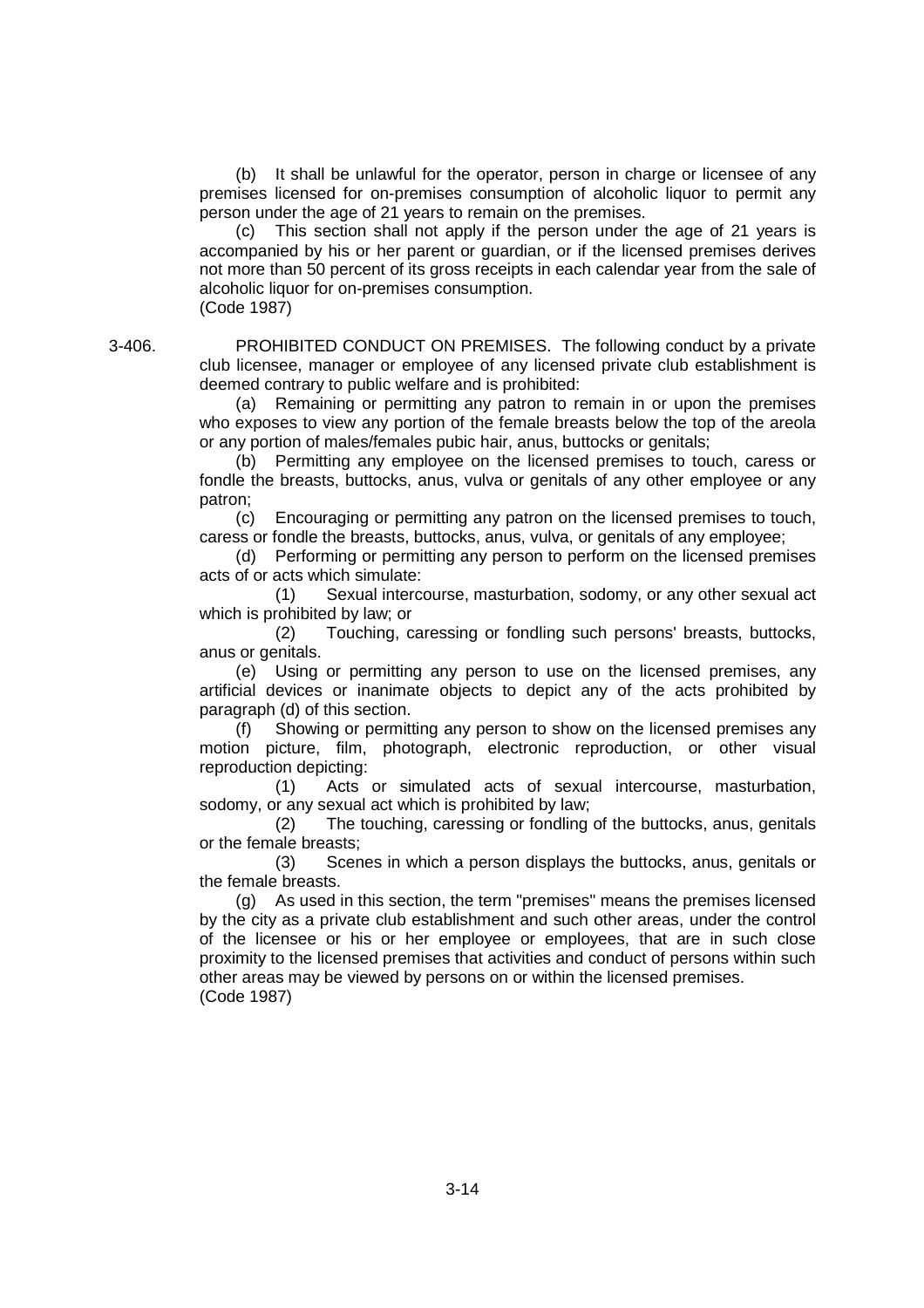(b) It shall be unlawful for the operator, person in charge or licensee of any premises licensed for on-premises consumption of alcoholic liquor to permit any person under the age of 21 years to remain on the premises.

(c) This section shall not apply if the person under the age of 21 years is accompanied by his or her parent or guardian, or if the licensed premises derives not more than 50 percent of its gross receipts in each calendar year from the sale of alcoholic liquor for on-premises consumption. (Code 1987)

3-406. PROHIBITED CONDUCT ON PREMISES. The following conduct by a private club licensee, manager or employee of any licensed private club establishment is deemed contrary to public welfare and is prohibited:

> (a) Remaining or permitting any patron to remain in or upon the premises who exposes to view any portion of the female breasts below the top of the areola or any portion of males/females pubic hair, anus, buttocks or genitals;

> (b) Permitting any employee on the licensed premises to touch, caress or fondle the breasts, buttocks, anus, vulva or genitals of any other employee or any patron;

> (c) Encouraging or permitting any patron on the licensed premises to touch, caress or fondle the breasts, buttocks, anus, vulva, or genitals of any employee;

> (d) Performing or permitting any person to perform on the licensed premises acts of or acts which simulate:

> (1) Sexual intercourse, masturbation, sodomy, or any other sexual act which is prohibited by law; or

> (2) Touching, caressing or fondling such persons' breasts, buttocks, anus or genitals.

> (e) Using or permitting any person to use on the licensed premises, any artificial devices or inanimate objects to depict any of the acts prohibited by paragraph (d) of this section.

> (f) Showing or permitting any person to show on the licensed premises any motion picture, film, photograph, electronic reproduction, or other visual reproduction depicting:

> (1) Acts or simulated acts of sexual intercourse, masturbation, sodomy, or any sexual act which is prohibited by law;

> (2) The touching, caressing or fondling of the buttocks, anus, genitals or the female breasts;

> (3) Scenes in which a person displays the buttocks, anus, genitals or the female breasts.

> (g) As used in this section, the term "premises" means the premises licensed by the city as a private club establishment and such other areas, under the control of the licensee or his or her employee or employees, that are in such close proximity to the licensed premises that activities and conduct of persons within such other areas may be viewed by persons on or within the licensed premises. (Code 1987)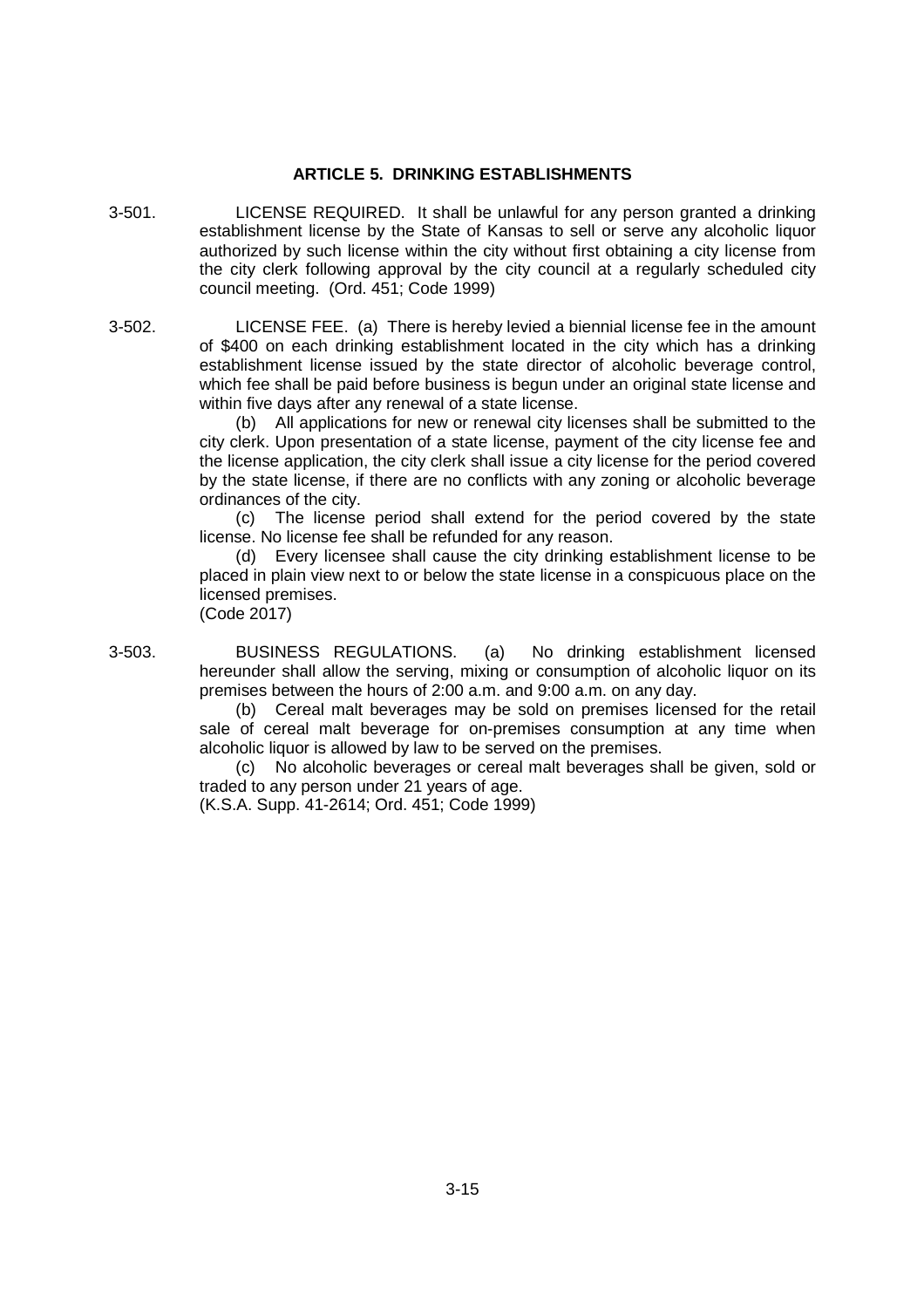### **ARTICLE 5. DRINKING ESTABLISHMENTS**

- 3-501. LICENSE REQUIRED. It shall be unlawful for any person granted a drinking establishment license by the State of Kansas to sell or serve any alcoholic liquor authorized by such license within the city without first obtaining a city license from the city clerk following approval by the city council at a regularly scheduled city council meeting. (Ord. 451; Code 1999)
- 3-502. LICENSE FEE. (a) There is hereby levied a biennial license fee in the amount of \$400 on each drinking establishment located in the city which has a drinking establishment license issued by the state director of alcoholic beverage control, which fee shall be paid before business is begun under an original state license and within five days after any renewal of a state license.

(b) All applications for new or renewal city licenses shall be submitted to the city clerk. Upon presentation of a state license, payment of the city license fee and the license application, the city clerk shall issue a city license for the period covered by the state license, if there are no conflicts with any zoning or alcoholic beverage ordinances of the city.

(c) The license period shall extend for the period covered by the state license. No license fee shall be refunded for any reason.

(d) Every licensee shall cause the city drinking establishment license to be placed in plain view next to or below the state license in a conspicuous place on the licensed premises.

(Code 2017)

3-503. BUSINESS REGULATIONS. (a) No drinking establishment licensed hereunder shall allow the serving, mixing or consumption of alcoholic liquor on its premises between the hours of 2:00 a.m. and 9:00 a.m. on any day.

> (b) Cereal malt beverages may be sold on premises licensed for the retail sale of cereal malt beverage for on-premises consumption at any time when alcoholic liquor is allowed by law to be served on the premises.

> (c) No alcoholic beverages or cereal malt beverages shall be given, sold or traded to any person under 21 years of age.

(K.S.A. Supp. 41-2614; Ord. 451; Code 1999)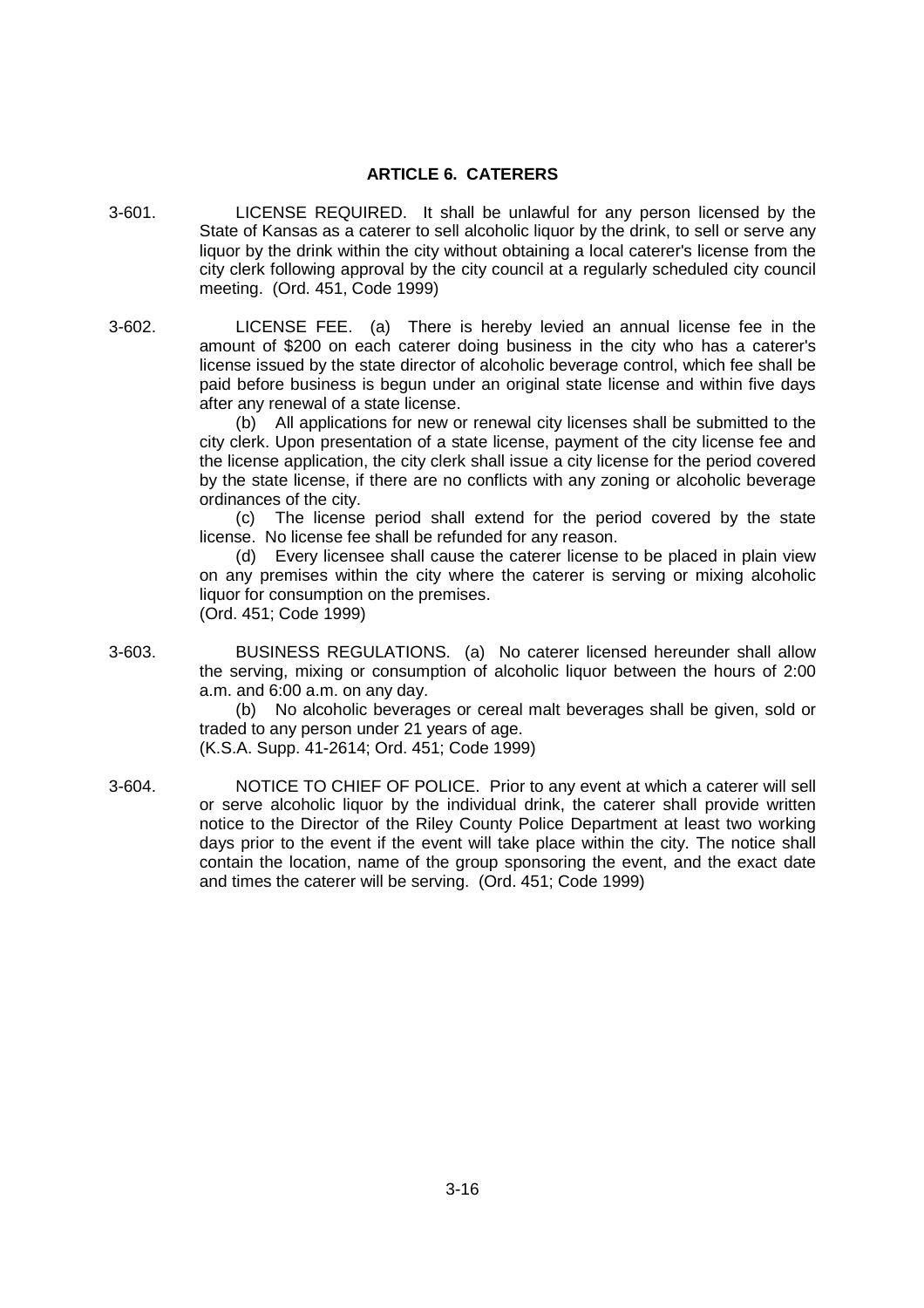### **ARTICLE 6. CATERERS**

- 3-601. LICENSE REQUIRED. It shall be unlawful for any person licensed by the State of Kansas as a caterer to sell alcoholic liquor by the drink, to sell or serve any liquor by the drink within the city without obtaining a local caterer's license from the city clerk following approval by the city council at a regularly scheduled city council meeting. (Ord. 451, Code 1999)
- 3-602. LICENSE FEE. (a) There is hereby levied an annual license fee in the amount of \$200 on each caterer doing business in the city who has a caterer's license issued by the state director of alcoholic beverage control, which fee shall be paid before business is begun under an original state license and within five days after any renewal of a state license.

(b) All applications for new or renewal city licenses shall be submitted to the city clerk. Upon presentation of a state license, payment of the city license fee and the license application, the city clerk shall issue a city license for the period covered by the state license, if there are no conflicts with any zoning or alcoholic beverage ordinances of the city.

(c) The license period shall extend for the period covered by the state license. No license fee shall be refunded for any reason.

(d) Every licensee shall cause the caterer license to be placed in plain view on any premises within the city where the caterer is serving or mixing alcoholic liquor for consumption on the premises. (Ord. 451; Code 1999)

3-603. BUSINESS REGULATIONS. (a) No caterer licensed hereunder shall allow the serving, mixing or consumption of alcoholic liquor between the hours of 2:00 a.m. and 6:00 a.m. on any day.

> (b) No alcoholic beverages or cereal malt beverages shall be given, sold or traded to any person under 21 years of age.

(K.S.A. Supp. 41-2614; Ord. 451; Code 1999)

3-604. NOTICE TO CHIEF OF POLICE. Prior to any event at which a caterer will sell or serve alcoholic liquor by the individual drink, the caterer shall provide written notice to the Director of the Riley County Police Department at least two working days prior to the event if the event will take place within the city. The notice shall contain the location, name of the group sponsoring the event, and the exact date and times the caterer will be serving. (Ord. 451; Code 1999)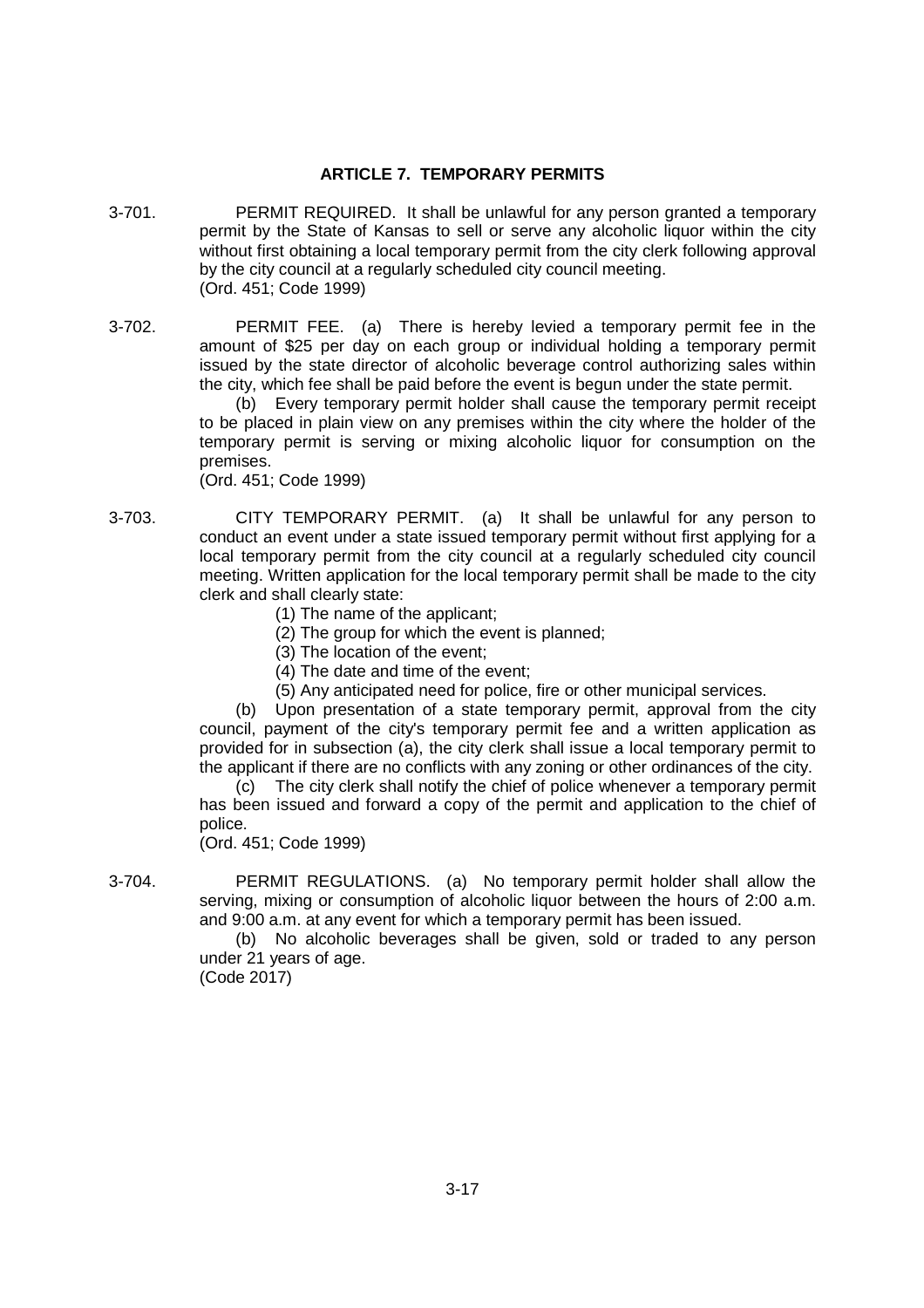# **ARTICLE 7. TEMPORARY PERMITS**

- 3-701. PERMIT REQUIRED. It shall be unlawful for any person granted a temporary permit by the State of Kansas to sell or serve any alcoholic liquor within the city without first obtaining a local temporary permit from the city clerk following approval by the city council at a regularly scheduled city council meeting. (Ord. 451; Code 1999)
- 3-702. PERMIT FEE. (a) There is hereby levied a temporary permit fee in the amount of \$25 per day on each group or individual holding a temporary permit issued by the state director of alcoholic beverage control authorizing sales within the city, which fee shall be paid before the event is begun under the state permit.

(b) Every temporary permit holder shall cause the temporary permit receipt to be placed in plain view on any premises within the city where the holder of the temporary permit is serving or mixing alcoholic liquor for consumption on the premises.

(Ord. 451; Code 1999)

- 3-703. CITY TEMPORARY PERMIT. (a) It shall be unlawful for any person to conduct an event under a state issued temporary permit without first applying for a local temporary permit from the city council at a regularly scheduled city council meeting. Written application for the local temporary permit shall be made to the city clerk and shall clearly state:
	- (1) The name of the applicant;
	- (2) The group for which the event is planned;
	- (3) The location of the event;
	- (4) The date and time of the event;
	- (5) Any anticipated need for police, fire or other municipal services.

(b) Upon presentation of a state temporary permit, approval from the city council, payment of the city's temporary permit fee and a written application as provided for in subsection (a), the city clerk shall issue a local temporary permit to the applicant if there are no conflicts with any zoning or other ordinances of the city.

(c) The city clerk shall notify the chief of police whenever a temporary permit has been issued and forward a copy of the permit and application to the chief of police.

(Ord. 451; Code 1999)

3-704. PERMIT REGULATIONS. (a) No temporary permit holder shall allow the serving, mixing or consumption of alcoholic liquor between the hours of 2:00 a.m. and 9:00 a.m. at any event for which a temporary permit has been issued.

(b) No alcoholic beverages shall be given, sold or traded to any person under 21 years of age. (Code 2017)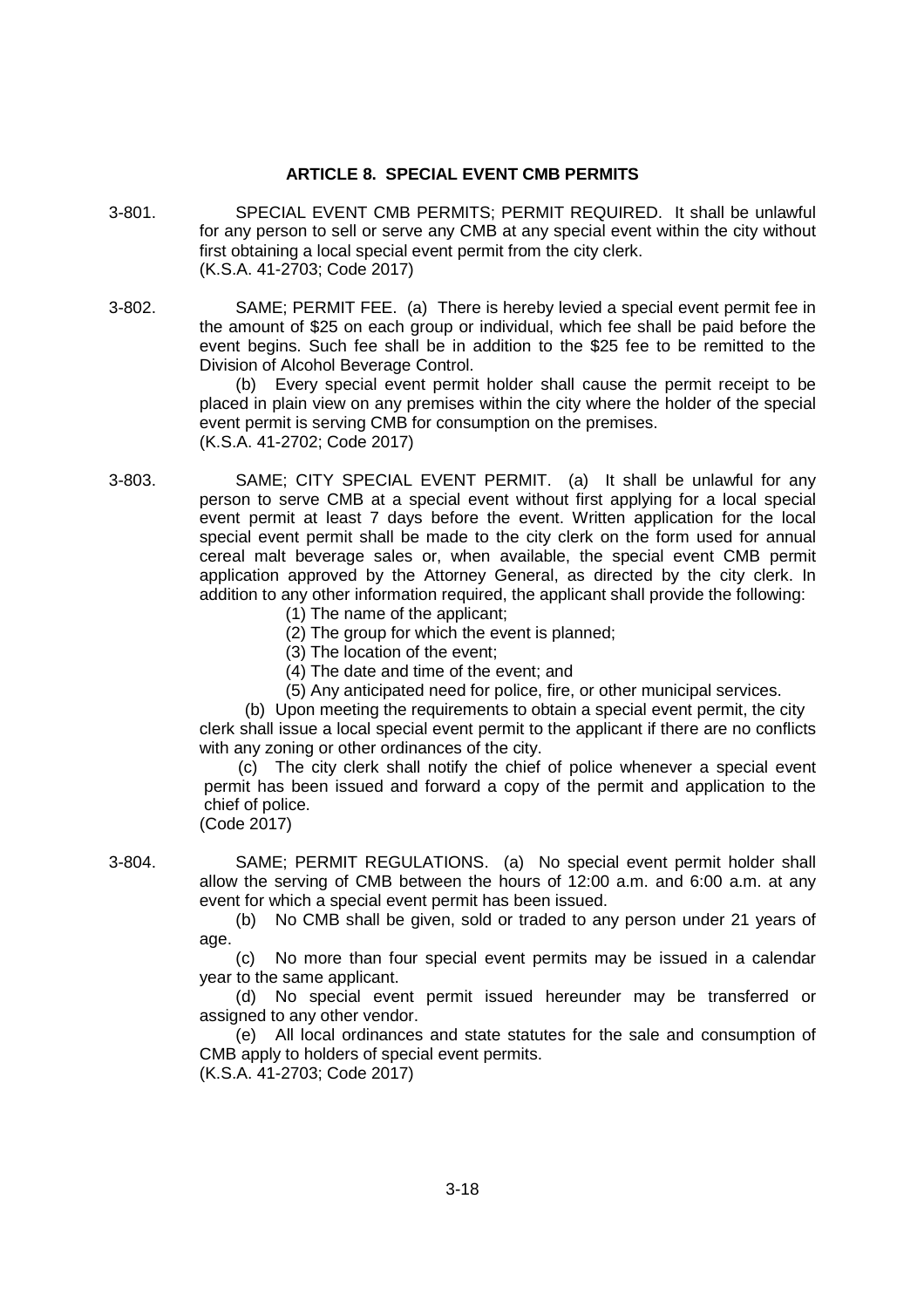# **ARTICLE 8. SPECIAL EVENT CMB PERMITS**

- 3-801. SPECIAL EVENT CMB PERMITS; PERMIT REQUIRED. It shall be unlawful for any person to sell or serve any CMB at any special event within the city without first obtaining a local special event permit from the city clerk. (K.S.A. 41-2703; Code 2017)
- 3-802. SAME; PERMIT FEE. (a) There is hereby levied a special event permit fee in the amount of \$25 on each group or individual, which fee shall be paid before the event begins. Such fee shall be in addition to the \$25 fee to be remitted to the Division of Alcohol Beverage Control.

(b) Every special event permit holder shall cause the permit receipt to be placed in plain view on any premises within the city where the holder of the special event permit is serving CMB for consumption on the premises. (K.S.A. 41-2702; Code 2017)

- 3-803. SAME; CITY SPECIAL EVENT PERMIT. (a) It shall be unlawful for any person to serve CMB at a special event without first applying for a local special event permit at least 7 days before the event. Written application for the local special event permit shall be made to the city clerk on the form used for annual cereal malt beverage sales or, when available, the special event CMB permit application approved by the Attorney General, as directed by the city clerk. In addition to any other information required, the applicant shall provide the following:
	- (1) The name of the applicant;
	- (2) The group for which the event is planned;
	- (3) The location of the event;
	- (4) The date and time of the event; and
	- (5) Any anticipated need for police, fire, or other municipal services.

(b) Upon meeting the requirements to obtain a special event permit, the city clerk shall issue a local special event permit to the applicant if there are no conflicts with any zoning or other ordinances of the city.

(c) The city clerk shall notify the chief of police whenever a special event permit has been issued and forward a copy of the permit and application to the chief of police. (Code 2017)

3-804. SAME; PERMIT REGULATIONS. (a) No special event permit holder shall allow the serving of CMB between the hours of 12:00 a.m. and 6:00 a.m. at any event for which a special event permit has been issued.

> (b) No CMB shall be given, sold or traded to any person under 21 years of age.

> (c) No more than four special event permits may be issued in a calendar year to the same applicant.

> (d) No special event permit issued hereunder may be transferred or assigned to any other vendor.

> (e) All local ordinances and state statutes for the sale and consumption of CMB apply to holders of special event permits. (K.S.A. 41-2703; Code 2017)

> > 3-18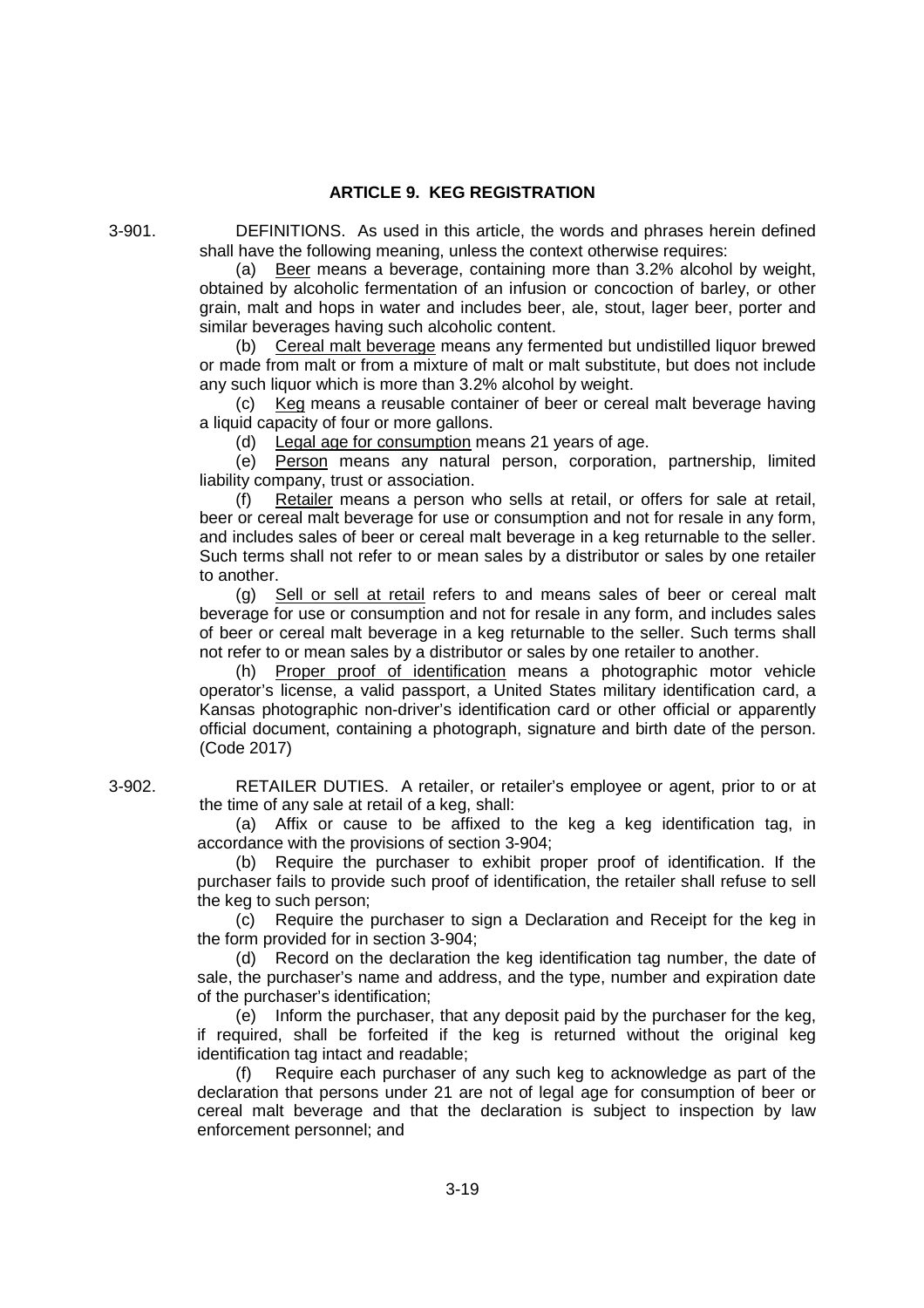### **ARTICLE 9. KEG REGISTRATION**

3-901. DEFINITIONS. As used in this article, the words and phrases herein defined shall have the following meaning, unless the context otherwise requires:

> (a) Beer means a beverage, containing more than 3.2% alcohol by weight, obtained by alcoholic fermentation of an infusion or concoction of barley, or other grain, malt and hops in water and includes beer, ale, stout, lager beer, porter and similar beverages having such alcoholic content.

> (b) Cereal malt beverage means any fermented but undistilled liquor brewed or made from malt or from a mixture of malt or malt substitute, but does not include any such liquor which is more than 3.2% alcohol by weight.

> (c) Keg means a reusable container of beer or cereal malt beverage having a liquid capacity of four or more gallons.

(d) Legal age for consumption means 21 years of age.

(e) Person means any natural person, corporation, partnership, limited liability company, trust or association.

(f) Retailer means a person who sells at retail, or offers for sale at retail, beer or cereal malt beverage for use or consumption and not for resale in any form, and includes sales of beer or cereal malt beverage in a keg returnable to the seller. Such terms shall not refer to or mean sales by a distributor or sales by one retailer to another.

(g) Sell or sell at retail refers to and means sales of beer or cereal malt beverage for use or consumption and not for resale in any form, and includes sales of beer or cereal malt beverage in a keg returnable to the seller. Such terms shall not refer to or mean sales by a distributor or sales by one retailer to another.

(h) Proper proof of identification means a photographic motor vehicle operator's license, a valid passport, a United States military identification card, a Kansas photographic non-driver's identification card or other official or apparently official document, containing a photograph, signature and birth date of the person. (Code 2017)

3-902. RETAILER DUTIES. A retailer, or retailer's employee or agent, prior to or at the time of any sale at retail of a keg, shall:

> (a) Affix or cause to be affixed to the keg a keg identification tag, in accordance with the provisions of section 3-904;

> (b) Require the purchaser to exhibit proper proof of identification. If the purchaser fails to provide such proof of identification, the retailer shall refuse to sell the keg to such person;

> (c) Require the purchaser to sign a Declaration and Receipt for the keg in the form provided for in section 3-904;

> (d) Record on the declaration the keg identification tag number, the date of sale, the purchaser's name and address, and the type, number and expiration date of the purchaser's identification;

> (e) Inform the purchaser, that any deposit paid by the purchaser for the keg, if required, shall be forfeited if the keg is returned without the original keg identification tag intact and readable;

> Require each purchaser of any such keg to acknowledge as part of the declaration that persons under 21 are not of legal age for consumption of beer or cereal malt beverage and that the declaration is subject to inspection by law enforcement personnel; and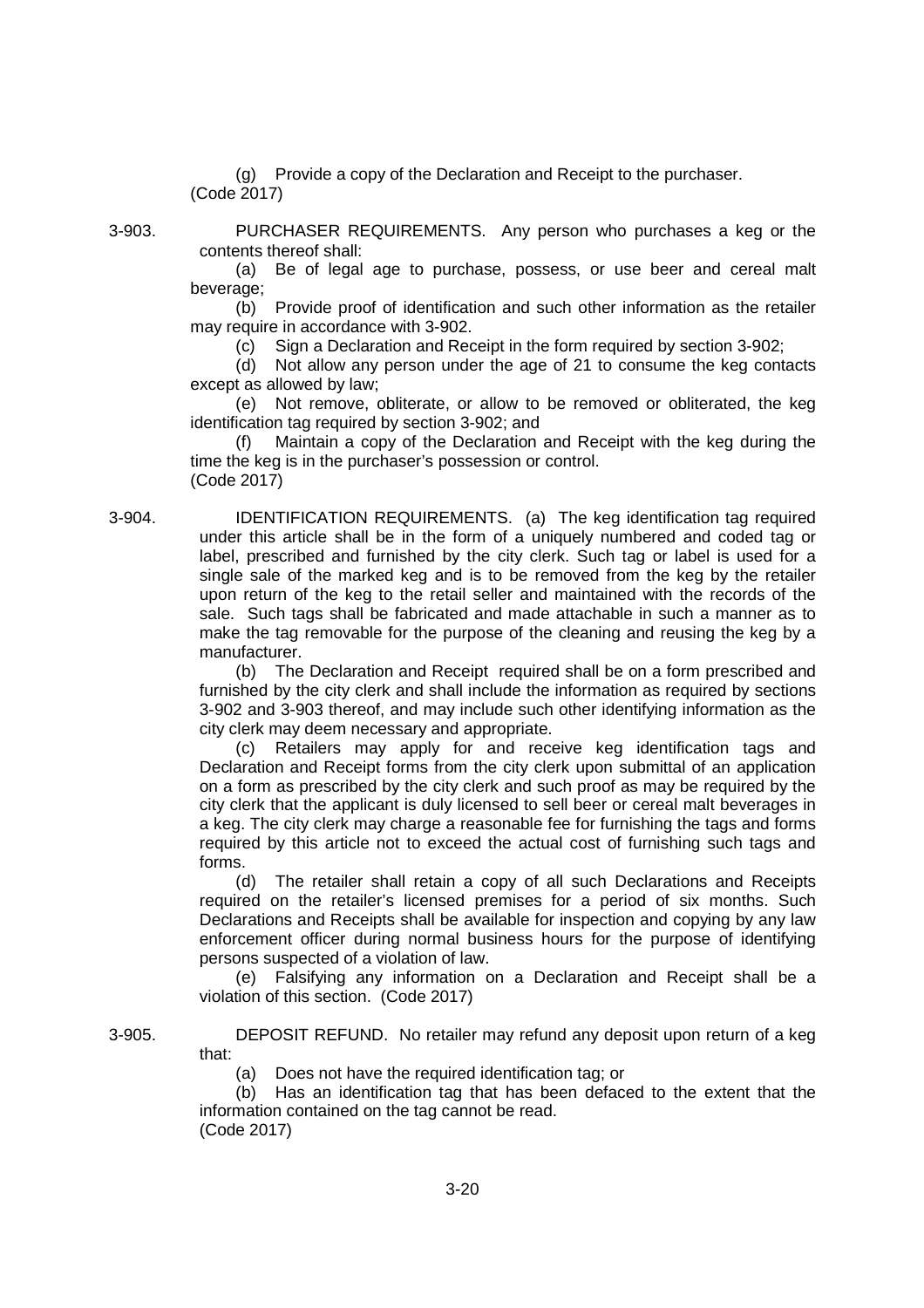(g) Provide a copy of the Declaration and Receipt to the purchaser. (Code 2017)

3-903. PURCHASER REQUIREMENTS. Any person who purchases a keg or the contents thereof shall:

> (a) Be of legal age to purchase, possess, or use beer and cereal malt beverage;

> (b) Provide proof of identification and such other information as the retailer may require in accordance with 3-902.

(c) Sign a Declaration and Receipt in the form required by section 3-902;

(d) Not allow any person under the age of 21 to consume the keg contacts except as allowed by law;

(e) Not remove, obliterate, or allow to be removed or obliterated, the keg identification tag required by section 3-902; and

(f) Maintain a copy of the Declaration and Receipt with the keg during the time the keg is in the purchaser's possession or control. (Code 2017)

3-904. IDENTIFICATION REQUIREMENTS. (a) The keg identification tag required under this article shall be in the form of a uniquely numbered and coded tag or label, prescribed and furnished by the city clerk. Such tag or label is used for a single sale of the marked keg and is to be removed from the keg by the retailer upon return of the keg to the retail seller and maintained with the records of the sale. Such tags shall be fabricated and made attachable in such a manner as to make the tag removable for the purpose of the cleaning and reusing the keg by a manufacturer.

> (b) The Declaration and Receipt required shall be on a form prescribed and furnished by the city clerk and shall include the information as required by sections 3-902 and 3-903 thereof, and may include such other identifying information as the city clerk may deem necessary and appropriate.

> (c) Retailers may apply for and receive keg identification tags and Declaration and Receipt forms from the city clerk upon submittal of an application on a form as prescribed by the city clerk and such proof as may be required by the city clerk that the applicant is duly licensed to sell beer or cereal malt beverages in a keg. The city clerk may charge a reasonable fee for furnishing the tags and forms required by this article not to exceed the actual cost of furnishing such tags and forms.

> (d) The retailer shall retain a copy of all such Declarations and Receipts required on the retailer's licensed premises for a period of six months. Such Declarations and Receipts shall be available for inspection and copying by any law enforcement officer during normal business hours for the purpose of identifying persons suspected of a violation of law.

> (e) Falsifying any information on a Declaration and Receipt shall be a violation of this section. (Code 2017)

3-905. DEPOSIT REFUND. No retailer may refund any deposit upon return of a keg that:

(a) Does not have the required identification tag; or

(b) Has an identification tag that has been defaced to the extent that the information contained on the tag cannot be read. (Code 2017)